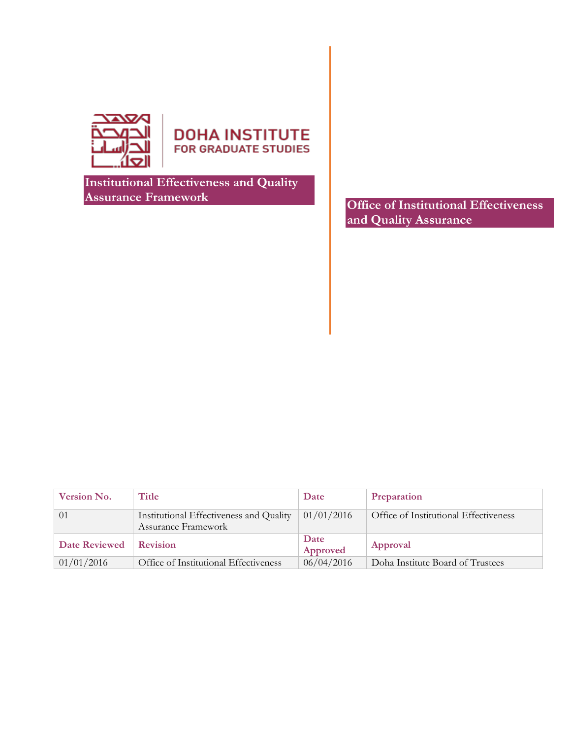

**DOHA INSTITUTE** FOR GRADUATE STUDIES

**Institutional Effectiveness and Quality Assurance Framework**

**Office of Institutional Effectiveness and Quality Assurance**

| <b>Version No.</b>   | Title                                   | Date       | Preparation                           |
|----------------------|-----------------------------------------|------------|---------------------------------------|
| $\Omega$             | Institutional Effectiveness and Quality | 01/01/2016 | Office of Institutional Effectiveness |
|                      | Assurance Framework                     |            |                                       |
| <b>Date Reviewed</b> | <b>Revision</b>                         | Date       | Approval                              |
|                      |                                         | Approved   |                                       |
| 01/01/2016           | Office of Institutional Effectiveness   | 06/04/2016 | Doha Institute Board of Trustees      |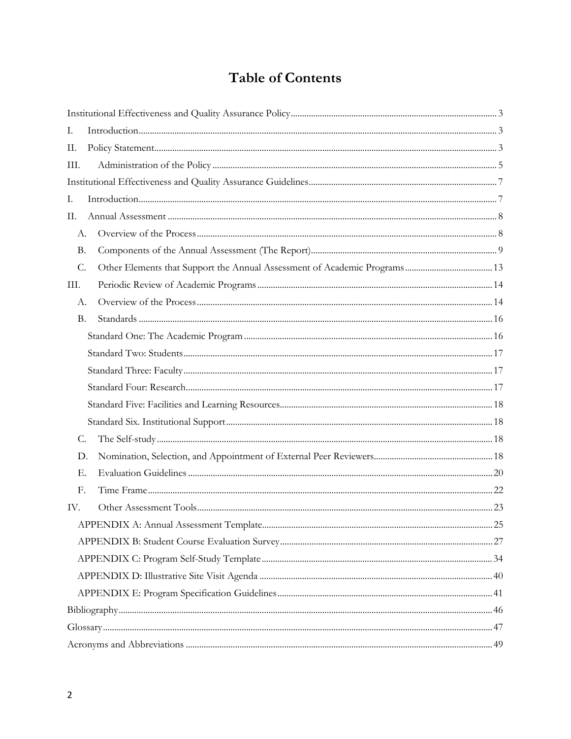# **Table of Contents**

| Ι.        |  |
|-----------|--|
| П.        |  |
| III.      |  |
|           |  |
| Ι.        |  |
| II.       |  |
| А.        |  |
| <b>B.</b> |  |
| C.        |  |
| Ш.        |  |
| А.        |  |
| <b>B.</b> |  |
|           |  |
|           |  |
|           |  |
|           |  |
|           |  |
|           |  |
| C.        |  |
| D.        |  |
| Е.        |  |
| F.        |  |
| IV.       |  |
|           |  |
|           |  |
|           |  |
|           |  |
|           |  |
|           |  |
|           |  |
|           |  |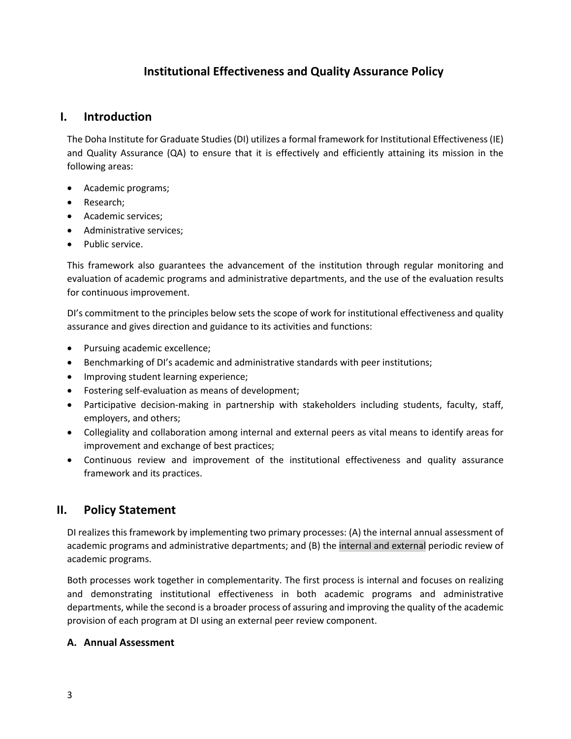# **Institutional Effectiveness and Quality Assurance Policy**

# <span id="page-2-1"></span><span id="page-2-0"></span>**I. Introduction**

The Doha Institute for Graduate Studies (DI) utilizes a formal framework for Institutional Effectiveness (IE) and Quality Assurance (QA) to ensure that it is effectively and efficiently attaining its mission in the following areas:

- Academic programs;
- Research;
- Academic services;
- Administrative services;
- Public service.

This framework also guarantees the advancement of the institution through regular monitoring and evaluation of academic programs and administrative departments, and the use of the evaluation results for continuous improvement.

DI's commitment to the principles below sets the scope of work for institutional effectiveness and quality assurance and gives direction and guidance to its activities and functions:

- Pursuing academic excellence;
- Benchmarking of DI's academic and administrative standards with peer institutions;
- Improving student learning experience;
- Fostering self-evaluation as means of development;
- Participative decision-making in partnership with stakeholders including students, faculty, staff, employers, and others;
- Collegiality and collaboration among internal and external peers as vital means to identify areas for improvement and exchange of best practices;
- Continuous review and improvement of the institutional effectiveness and quality assurance framework and its practices.

# <span id="page-2-2"></span>**II. Policy Statement**

DI realizes this framework by implementing two primary processes: (A) the internal annual assessment of academic programs and administrative departments; and (B) the internal and external periodic review of academic programs.

Both processes work together in complementarity. The first process is internal and focuses on realizing and demonstrating institutional effectiveness in both academic programs and administrative departments, while the second is a broader process of assuring and improving the quality of the academic provision of each program at DI using an external peer review component.

#### **A. Annual Assessment**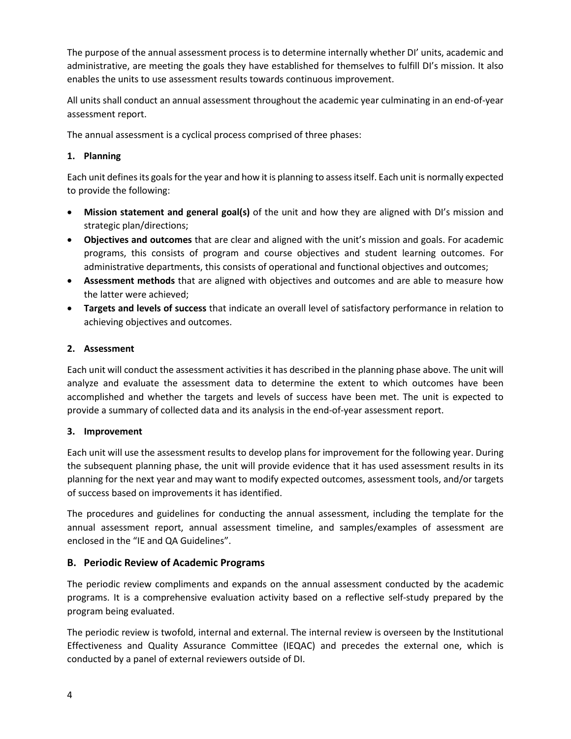The purpose of the annual assessment process is to determine internally whether DI' units, academic and administrative, are meeting the goals they have established for themselves to fulfill DI's mission. It also enables the units to use assessment results towards continuous improvement.

All units shall conduct an annual assessment throughout the academic year culminating in an end-of-year assessment report.

The annual assessment is a cyclical process comprised of three phases:

# **1. Planning**

Each unit defines its goals for the year and how it is planning to assess itself. Each unit is normally expected to provide the following:

- **Mission statement and general goal(s)** of the unit and how they are aligned with DI's mission and strategic plan/directions;
- **Objectives and outcomes** that are clear and aligned with the unit's mission and goals. For academic programs, this consists of program and course objectives and student learning outcomes. For administrative departments, this consists of operational and functional objectives and outcomes;
- **Assessment methods** that are aligned with objectives and outcomes and are able to measure how the latter were achieved;
- **Targets and levels of success** that indicate an overall level of satisfactory performance in relation to achieving objectives and outcomes.

# **2. Assessment**

Each unit will conduct the assessment activities it has described in the planning phase above. The unit will analyze and evaluate the assessment data to determine the extent to which outcomes have been accomplished and whether the targets and levels of success have been met. The unit is expected to provide a summary of collected data and its analysis in the end-of-year assessment report.

#### **3. Improvement**

Each unit will use the assessment results to develop plans for improvement for the following year. During the subsequent planning phase, the unit will provide evidence that it has used assessment results in its planning for the next year and may want to modify expected outcomes, assessment tools, and/or targets of success based on improvements it has identified.

The procedures and guidelines for conducting the annual assessment, including the template for the annual assessment report, annual assessment timeline, and samples/examples of assessment are enclosed in the "IE and QA Guidelines".

# **B. Periodic Review of Academic Programs**

The periodic review compliments and expands on the annual assessment conducted by the academic programs. It is a comprehensive evaluation activity based on a reflective self-study prepared by the program being evaluated.

The periodic review is twofold, internal and external. The internal review is overseen by the Institutional Effectiveness and Quality Assurance Committee (IEQAC) and precedes the external one, which is conducted by a panel of external reviewers outside of DI.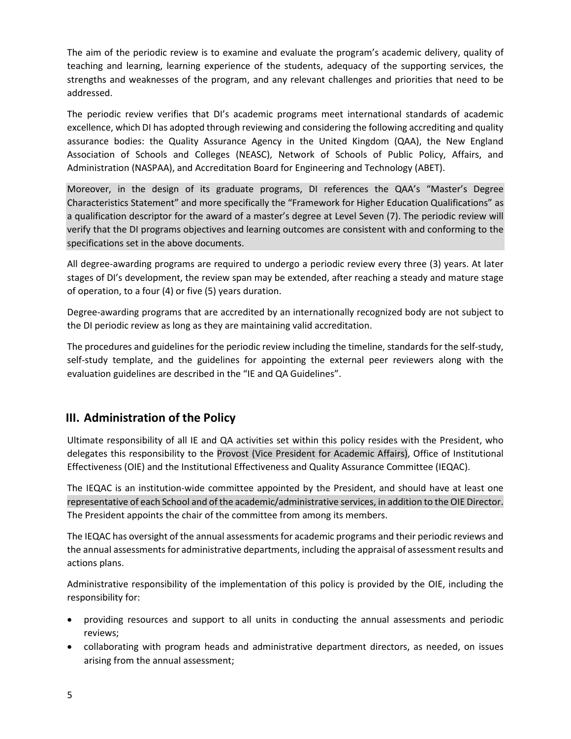The aim of the periodic review is to examine and evaluate the program's academic delivery, quality of teaching and learning, learning experience of the students, adequacy of the supporting services, the strengths and weaknesses of the program, and any relevant challenges and priorities that need to be addressed.

The periodic review verifies that DI's academic programs meet international standards of academic excellence, which DI has adopted through reviewing and considering the following accrediting and quality assurance bodies: the Quality Assurance Agency in the United Kingdom (QAA), the New England Association of Schools and Colleges (NEASC), Network of Schools of Public Policy, Affairs, and Administration (NASPAA), and Accreditation Board for Engineering and Technology (ABET).

Moreover, in the design of its graduate programs, DI references the QAA's "Master's Degree Characteristics Statement" and more specifically the "Framework for Higher Education Qualifications" as a qualification descriptor for the award of a master's degree at Level Seven (7). The periodic review will verify that the DI programs objectives and learning outcomes are consistent with and conforming to the specifications set in the above documents.

All degree-awarding programs are required to undergo a periodic review every three (3) years. At later stages of DI's development, the review span may be extended, after reaching a steady and mature stage of operation, to a four (4) or five (5) years duration.

Degree-awarding programs that are accredited by an internationally recognized body are not subject to the DI periodic review as long as they are maintaining valid accreditation.

The procedures and guidelines for the periodic review including the timeline, standards for the self-study, self-study template, and the guidelines for appointing the external peer reviewers along with the evaluation guidelines are described in the "IE and QA Guidelines".

# <span id="page-4-0"></span>**III. Administration of the Policy**

Ultimate responsibility of all IE and QA activities set within this policy resides with the President, who delegates this responsibility to the Provost (Vice President for Academic Affairs), Office of Institutional Effectiveness (OIE) and the Institutional Effectiveness and Quality Assurance Committee (IEQAC).

The IEQAC is an institution-wide committee appointed by the President, and should have at least one representative of each School and of the academic/administrative services, in addition to the OIE Director. The President appoints the chair of the committee from among its members.

The IEQAC has oversight of the annual assessments for academic programs and their periodic reviews and the annual assessments for administrative departments, including the appraisal of assessment results and actions plans.

Administrative responsibility of the implementation of this policy is provided by the OIE, including the responsibility for:

- providing resources and support to all units in conducting the annual assessments and periodic reviews;
- collaborating with program heads and administrative department directors, as needed, on issues arising from the annual assessment;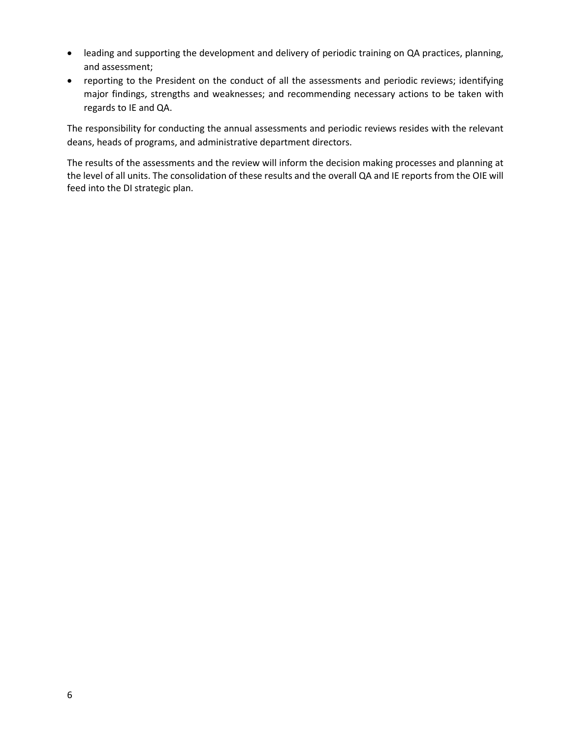- leading and supporting the development and delivery of periodic training on QA practices, planning, and assessment;
- reporting to the President on the conduct of all the assessments and periodic reviews; identifying major findings, strengths and weaknesses; and recommending necessary actions to be taken with regards to IE and QA.

The responsibility for conducting the annual assessments and periodic reviews resides with the relevant deans, heads of programs, and administrative department directors.

The results of the assessments and the review will inform the decision making processes and planning at the level of all units. The consolidation of these results and the overall QA and IE reports from the OIE will feed into the DI strategic plan.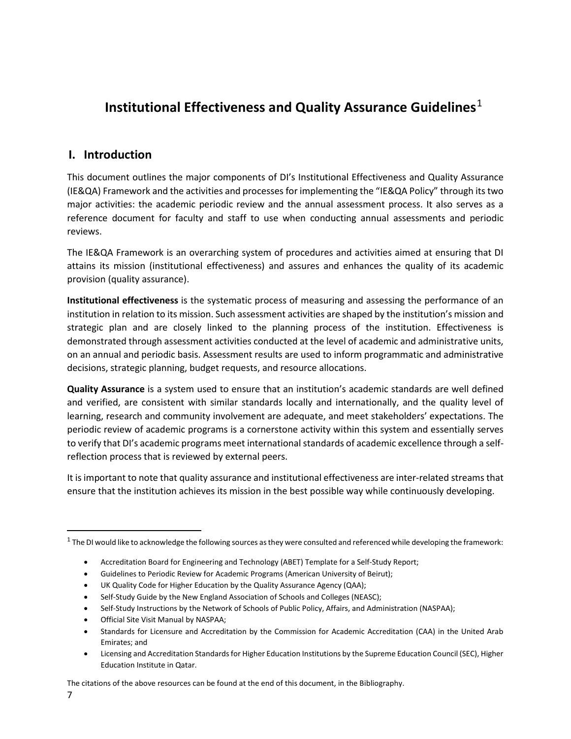# <span id="page-6-0"></span>**Institutional Effectiveness and Quality Assurance Guidelines**<sup>[1](#page-6-2)</sup>

# <span id="page-6-1"></span>**I. Introduction**

This document outlines the major components of DI's Institutional Effectiveness and Quality Assurance (IE&QA) Framework and the activities and processes for implementing the "IE&QA Policy" through its two major activities: the academic periodic review and the annual assessment process. It also serves as a reference document for faculty and staff to use when conducting annual assessments and periodic reviews.

The IE&QA Framework is an overarching system of procedures and activities aimed at ensuring that DI attains its mission (institutional effectiveness) and assures and enhances the quality of its academic provision (quality assurance).

**Institutional effectiveness** is the systematic process of measuring and assessing the performance of an institution in relation to its mission. Such assessment activities are shaped by the institution's mission and strategic plan and are closely linked to the planning process of the institution. Effectiveness is demonstrated through assessment activities conducted at the level of academic and administrative units, on an annual and periodic basis. Assessment results are used to inform programmatic and administrative decisions, strategic planning, budget requests, and resource allocations.

**Quality Assurance** is a system used to ensure that an institution's academic standards are well defined and verified, are consistent with similar standards locally and internationally, and the quality level of learning, research and community involvement are adequate, and meet stakeholders' expectations. The periodic review of academic programs is a cornerstone activity within this system and essentially serves to verify that DI's academic programs meet international standards of academic excellence through a selfreflection process that is reviewed by external peers.

It is important to note that quality assurance and institutional effectiveness are inter-related streams that ensure that the institution achieves its mission in the best possible way while continuously developing.

- UK Quality Code for Higher Education by the Quality Assurance Agency (QAA);
- Self-Study Guide by the New England Association of Schools and Colleges (NEASC);
- Self-Study Instructions by the Network of Schools of Public Policy, Affairs, and Administration (NASPAA);
- Official Site Visit Manual by NASPAA;
- Standards for Licensure and Accreditation by the Commission for Academic Accreditation (CAA) in the United Arab Emirates; and
- Licensing and Accreditation Standards for Higher Education Institutions by the Supreme Education Council (SEC), Higher Education Institute in Qatar.

The citations of the above resources can be found at the end of this document, in the Bibliography.

<span id="page-6-2"></span> $1$  The DI would like to acknowledge the following sources as they were consulted and referenced while developing the framework:

<sup>•</sup> Accreditation Board for Engineering and Technology (ABET) Template for a Self-Study Report;

<sup>•</sup> Guidelines to Periodic Review for Academic Programs (American University of Beirut);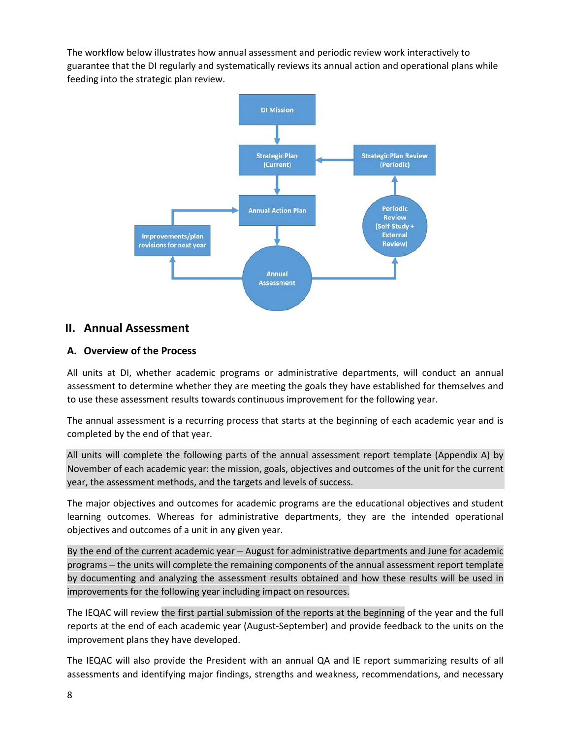The workflow below illustrates how annual assessment and periodic review work interactively to guarantee that the DI regularly and systematically reviews its annual action and operational plans while feeding into the strategic plan review.



# <span id="page-7-0"></span>**II. Annual Assessment**

# <span id="page-7-1"></span>**A. Overview of the Process**

All units at DI, whether academic programs or administrative departments, will conduct an annual assessment to determine whether they are meeting the goals they have established for themselves and to use these assessment results towards continuous improvement for the following year.

The annual assessment is a recurring process that starts at the beginning of each academic year and is completed by the end of that year.

All units will complete the following parts of the annual assessment report template (Appendix A) by November of each academic year: the mission, goals, objectives and outcomes of the unit for the current year, the assessment methods, and the targets and levels of success.

The major objectives and outcomes for academic programs are the educational objectives and student learning outcomes. Whereas for administrative departments, they are the intended operational objectives and outcomes of a unit in any given year.

By the end of the current academic year – August for administrative departments and June for academic programs – the units will complete the remaining components of the annual assessment report template by documenting and analyzing the assessment results obtained and how these results will be used in improvements for the following year including impact on resources.

The IEQAC will review the first partial submission of the reports at the beginning of the year and the full reports at the end of each academic year (August-September) and provide feedback to the units on the improvement plans they have developed.

The IEQAC will also provide the President with an annual QA and IE report summarizing results of all assessments and identifying major findings, strengths and weakness, recommendations, and necessary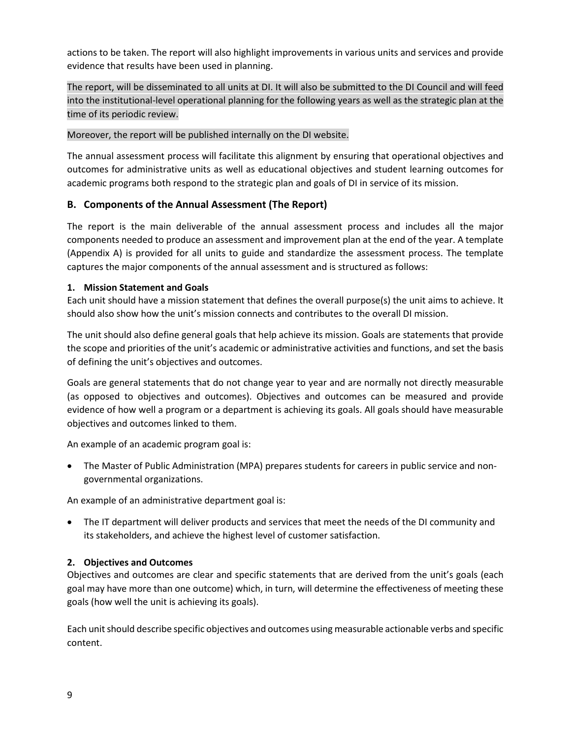actions to be taken. The report will also highlight improvements in various units and services and provide evidence that results have been used in planning.

The report, will be disseminated to all units at DI. It will also be submitted to the DI Council and will feed into the institutional-level operational planning for the following years as well as the strategic plan at the time of its periodic review.

## Moreover, the report will be published internally on the DI website.

The annual assessment process will facilitate this alignment by ensuring that operational objectives and outcomes for administrative units as well as educational objectives and student learning outcomes for academic programs both respond to the strategic plan and goals of DI in service of its mission.

# <span id="page-8-0"></span>**B. Components of the Annual Assessment (The Report)**

The report is the main deliverable of the annual assessment process and includes all the major components needed to produce an assessment and improvement plan at the end of the year. A template (Appendix A) is provided for all units to guide and standardize the assessment process. The template captures the major components of the annual assessment and is structured as follows:

# **1. Mission Statement and Goals**

Each unit should have a mission statement that defines the overall purpose(s) the unit aims to achieve. It should also show how the unit's mission connects and contributes to the overall DI mission.

The unit should also define general goals that help achieve its mission. Goals are statements that provide the scope and priorities of the unit's academic or administrative activities and functions, and set the basis of defining the unit's objectives and outcomes.

Goals are general statements that do not change year to year and are normally not directly measurable (as opposed to objectives and outcomes). Objectives and outcomes can be measured and provide evidence of how well a program or a department is achieving its goals. All goals should have measurable objectives and outcomes linked to them.

An example of an academic program goal is:

• The Master of Public Administration (MPA) prepares students for careers in public service and nongovernmental organizations.

An example of an administrative department goal is:

• The IT department will deliver products and services that meet the needs of the DI community and its stakeholders, and achieve the highest level of customer satisfaction.

# **2. Objectives and Outcomes**

Objectives and outcomes are clear and specific statements that are derived from the unit's goals (each goal may have more than one outcome) which, in turn, will determine the effectiveness of meeting these goals (how well the unit is achieving its goals).

Each unit should describe specific objectives and outcomes using measurable actionable verbs and specific content.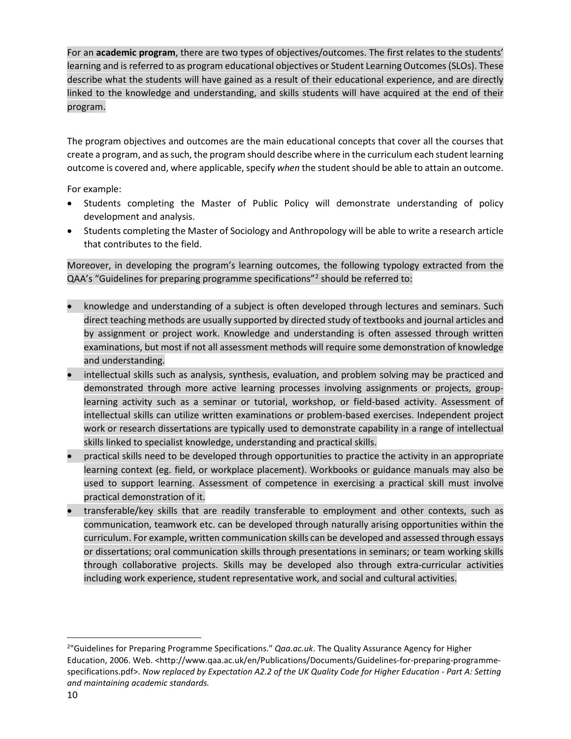For an **academic program**, there are two types of objectives/outcomes. The first relates to the students' learning and is referred to as program educational objectives or Student Learning Outcomes (SLOs). These describe what the students will have gained as a result of their educational experience, and are directly linked to the knowledge and understanding, and skills students will have acquired at the end of their program.

The program objectives and outcomes are the main educational concepts that cover all the courses that create a program, and as such, the program should describe where in the curriculum each student learning outcome is covered and, where applicable, specify *when* the student should be able to attain an outcome.

For example:

- Students completing the Master of Public Policy will demonstrate understanding of policy development and analysis.
- Students completing the Master of Sociology and Anthropology will be able to write a research article that contributes to the field.

Moreover, in developing the program's learning outcomes, the following typology extracted from the QAA's "Guidelines for preparing programme specifications"[2](#page-9-0) should be referred to:

- knowledge and understanding of a subject is often developed through lectures and seminars. Such direct teaching methods are usually supported by directed study of textbooks and journal articles and by assignment or project work. Knowledge and understanding is often assessed through written examinations, but most if not all assessment methods will require some demonstration of knowledge and understanding.
- intellectual skills such as analysis, synthesis, evaluation, and problem solving may be practiced and demonstrated through more active learning processes involving assignments or projects, grouplearning activity such as a seminar or tutorial, workshop, or field-based activity. Assessment of intellectual skills can utilize written examinations or problem-based exercises. Independent project work or research dissertations are typically used to demonstrate capability in a range of intellectual skills linked to specialist knowledge, understanding and practical skills.
- practical skills need to be developed through opportunities to practice the activity in an appropriate learning context (eg. field, or workplace placement). Workbooks or guidance manuals may also be used to support learning. Assessment of competence in exercising a practical skill must involve practical demonstration of it.
- transferable/key skills that are readily transferable to employment and other contexts, such as communication, teamwork etc. can be developed through naturally arising opportunities within the curriculum. For example, written communication skills can be developed and assessed through essays or dissertations; oral communication skills through presentations in seminars; or team working skills through collaborative projects. Skills may be developed also through extra-curricular activities including work experience, student representative work, and social and cultural activities.

<span id="page-9-0"></span> $\overline{2}$ "Guidelines for Preparing Programme Specifications." *Qaa.ac.uk*. The Quality Assurance Agency for Higher Education, 2006. Web. <http://www.qaa.ac.uk/en/Publications/Documents/Guidelines-for-preparing-programmespecifications.pdf>. *Now replaced by Expectation A2.2 of the UK Quality Code for Higher Education - Part A: Setting and maintaining academic standards.*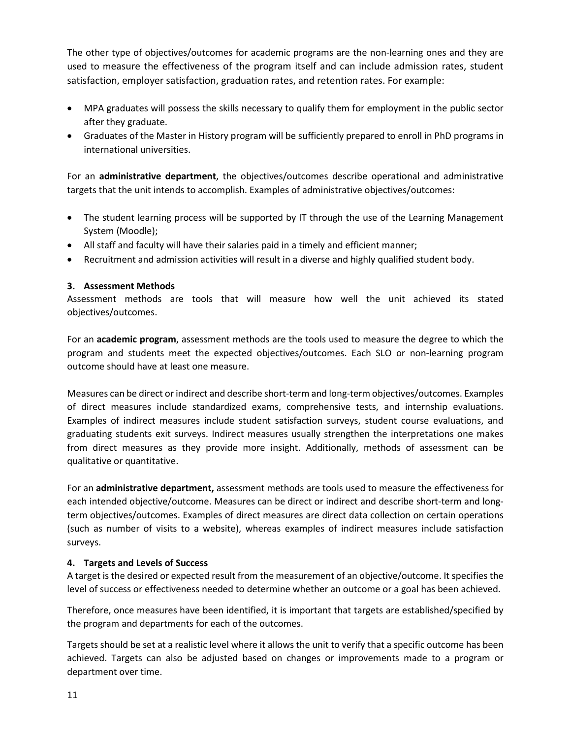The other type of objectives/outcomes for academic programs are the non-learning ones and they are used to measure the effectiveness of the program itself and can include admission rates, student satisfaction, employer satisfaction, graduation rates, and retention rates. For example:

- MPA graduates will possess the skills necessary to qualify them for employment in the public sector after they graduate.
- Graduates of the Master in History program will be sufficiently prepared to enroll in PhD programs in international universities.

For an **administrative department**, the objectives/outcomes describe operational and administrative targets that the unit intends to accomplish. Examples of administrative objectives/outcomes:

- The student learning process will be supported by IT through the use of the Learning Management System (Moodle);
- All staff and faculty will have their salaries paid in a timely and efficient manner;
- Recruitment and admission activities will result in a diverse and highly qualified student body.

# **3. Assessment Methods**

Assessment methods are tools that will measure how well the unit achieved its stated objectives/outcomes.

For an **academic program**, assessment methods are the tools used to measure the degree to which the program and students meet the expected objectives/outcomes. Each SLO or non-learning program outcome should have at least one measure.

Measures can be direct or indirect and describe short-term and long-term objectives/outcomes. Examples of direct measures include standardized exams, comprehensive tests, and internship evaluations. Examples of indirect measures include student satisfaction surveys, student course evaluations, and graduating students exit surveys. Indirect measures usually strengthen the interpretations one makes from direct measures as they provide more insight. Additionally, methods of assessment can be qualitative or quantitative.

For an **administrative department,** assessment methods are tools used to measure the effectiveness for each intended objective/outcome. Measures can be direct or indirect and describe short-term and longterm objectives/outcomes. Examples of direct measures are direct data collection on certain operations (such as number of visits to a website), whereas examples of indirect measures include satisfaction surveys.

# **4. Targets and Levels of Success**

A target is the desired or expected result from the measurement of an objective/outcome. It specifies the level of success or effectiveness needed to determine whether an outcome or a goal has been achieved.

Therefore, once measures have been identified, it is important that targets are established/specified by the program and departments for each of the outcomes.

Targets should be set at a realistic level where it allows the unit to verify that a specific outcome has been achieved. Targets can also be adjusted based on changes or improvements made to a program or department over time.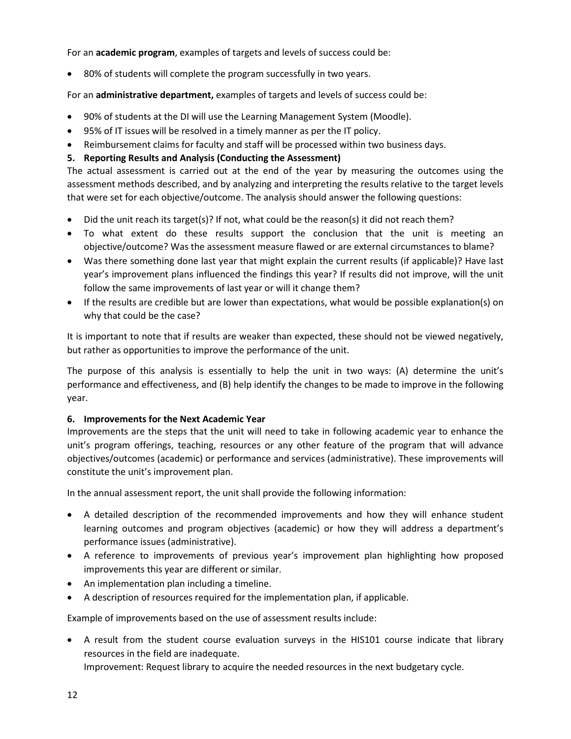For an **academic program**, examples of targets and levels of success could be:

• 80% of students will complete the program successfully in two years.

For an **administrative department,** examples of targets and levels of success could be:

- 90% of students at the DI will use the Learning Management System (Moodle).
- 95% of IT issues will be resolved in a timely manner as per the IT policy.
- Reimbursement claims for faculty and staff will be processed within two business days.

# **5. Reporting Results and Analysis (Conducting the Assessment)**

The actual assessment is carried out at the end of the year by measuring the outcomes using the assessment methods described, and by analyzing and interpreting the results relative to the target levels that were set for each objective/outcome. The analysis should answer the following questions:

- Did the unit reach its target(s)? If not, what could be the reason(s) it did not reach them?
- To what extent do these results support the conclusion that the unit is meeting an objective/outcome? Was the assessment measure flawed or are external circumstances to blame?
- Was there something done last year that might explain the current results (if applicable)? Have last year's improvement plans influenced the findings this year? If results did not improve, will the unit follow the same improvements of last year or will it change them?
- If the results are credible but are lower than expectations, what would be possible explanation(s) on why that could be the case?

It is important to note that if results are weaker than expected, these should not be viewed negatively, but rather as opportunities to improve the performance of the unit.

The purpose of this analysis is essentially to help the unit in two ways: (A) determine the unit's performance and effectiveness, and (B) help identify the changes to be made to improve in the following year.

# **6. Improvements for the Next Academic Year**

Improvements are the steps that the unit will need to take in following academic year to enhance the unit's program offerings, teaching, resources or any other feature of the program that will advance objectives/outcomes (academic) or performance and services (administrative). These improvements will constitute the unit's improvement plan.

In the annual assessment report, the unit shall provide the following information:

- A detailed description of the recommended improvements and how they will enhance student learning outcomes and program objectives (academic) or how they will address a department's performance issues (administrative).
- A reference to improvements of previous year's improvement plan highlighting how proposed improvements this year are different or similar.
- An implementation plan including a timeline.
- A description of resources required for the implementation plan, if applicable.

Example of improvements based on the use of assessment results include:

• A result from the student course evaluation surveys in the HIS101 course indicate that library resources in the field are inadequate.

Improvement: Request library to acquire the needed resources in the next budgetary cycle.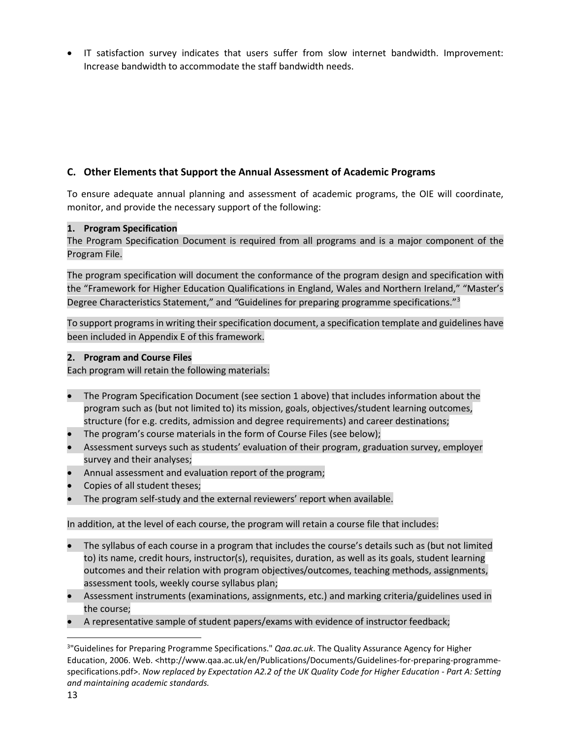• IT satisfaction survey indicates that users suffer from slow internet bandwidth. Improvement: Increase bandwidth to accommodate the staff bandwidth needs.

# <span id="page-12-0"></span>**C. Other Elements that Support the Annual Assessment of Academic Programs**

To ensure adequate annual planning and assessment of academic programs, the OIE will coordinate, monitor, and provide the necessary support of the following:

# **1. Program Specification**

The Program Specification Document is required from all programs and is a major component of the Program File.

The program specification will document the conformance of the program design and specification with the "Framework for Higher Education Qualifications in England, Wales and Northern Ireland," "Master's Degree Characteristics Statement," and *"*Guidelines for preparing programme specifications."[3](#page-12-1)

To support programs in writing their specification document, a specification template and guidelines have been included in Appendix E of this framework.

#### **2. Program and Course Files**

Each program will retain the following materials:

- The Program Specification Document (see section 1 above) that includes information about the program such as (but not limited to) its mission, goals, objectives/student learning outcomes, structure (for e.g. credits, admission and degree requirements) and career destinations;
- The program's course materials in the form of Course Files (see below);
- Assessment surveys such as students' evaluation of their program, graduation survey, employer survey and their analyses;
- Annual assessment and evaluation report of the program;
- Copies of all student theses;
- The program self-study and the external reviewers' report when available.

In addition, at the level of each course, the program will retain a course file that includes:

- The syllabus of each course in a program that includes the course's details such as (but not limited to) its name, credit hours, instructor(s), requisites, duration, as well as its goals, student learning outcomes and their relation with program objectives/outcomes, teaching methods, assignments, assessment tools, weekly course syllabus plan;
- Assessment instruments (examinations, assignments, etc.) and marking criteria/guidelines used in the course;
- A representative sample of student papers/exams with evidence of instructor feedback;

<span id="page-12-1"></span><sup>-&</sup>lt;br>3 <sup>3</sup>"Guidelines for Preparing Programme Specifications." *Qaa.ac.uk*. The Quality Assurance Agency for Higher Education, 2006. Web. <http://www.qaa.ac.uk/en/Publications/Documents/Guidelines-for-preparing-programmespecifications.pdf>. *Now replaced by Expectation A2.2 of the UK Quality Code for Higher Education - Part A: Setting and maintaining academic standards.*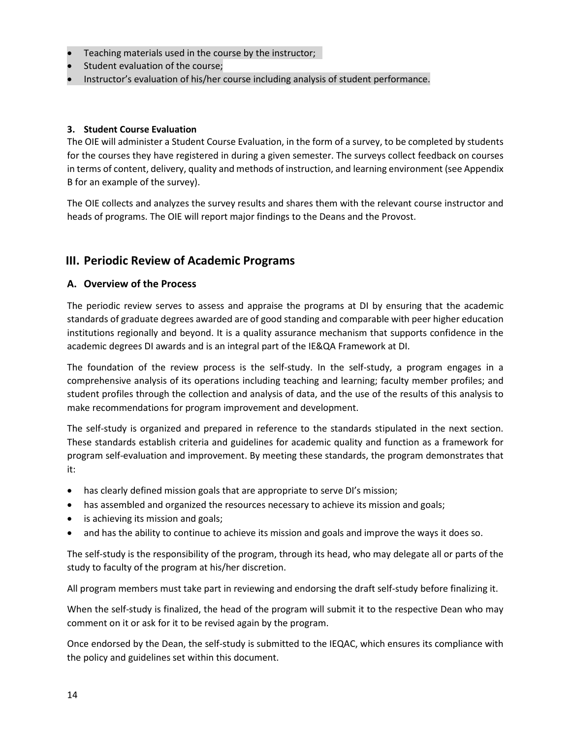- Teaching materials used in the course by the instructor;
- Student evaluation of the course;
- Instructor's evaluation of his/her course including analysis of student performance.

# **3. Student Course Evaluation**

The OIE will administer a Student Course Evaluation, in the form of a survey, to be completed by students for the courses they have registered in during a given semester. The surveys collect feedback on courses in terms of content, delivery, quality and methods of instruction, and learning environment (see Appendix B for an example of the survey).

The OIE collects and analyzes the survey results and shares them with the relevant course instructor and heads of programs. The OIE will report major findings to the Deans and the Provost.

# <span id="page-13-0"></span>**III. Periodic Review of Academic Programs**

# <span id="page-13-1"></span>**A. Overview of the Process**

The periodic review serves to assess and appraise the programs at DI by ensuring that the academic standards of graduate degrees awarded are of good standing and comparable with peer higher education institutions regionally and beyond. It is a quality assurance mechanism that supports confidence in the academic degrees DI awards and is an integral part of the IE&QA Framework at DI.

The foundation of the review process is the self-study. In the self-study, a program engages in a comprehensive analysis of its operations including teaching and learning; faculty member profiles; and student profiles through the collection and analysis of data, and the use of the results of this analysis to make recommendations for program improvement and development.

The self-study is organized and prepared in reference to the standards stipulated in the next section. These standards establish criteria and guidelines for academic quality and function as a framework for program self-evaluation and improvement. By meeting these standards, the program demonstrates that it:

- has clearly defined mission goals that are appropriate to serve DI's mission;
- has assembled and organized the resources necessary to achieve its mission and goals;
- is achieving its mission and goals;
- and has the ability to continue to achieve its mission and goals and improve the ways it does so.

The self-study is the responsibility of the program, through its head, who may delegate all or parts of the study to faculty of the program at his/her discretion.

All program members must take part in reviewing and endorsing the draft self-study before finalizing it.

When the self-study is finalized, the head of the program will submit it to the respective Dean who may comment on it or ask for it to be revised again by the program.

Once endorsed by the Dean, the self-study is submitted to the IEQAC, which ensures its compliance with the policy and guidelines set within this document.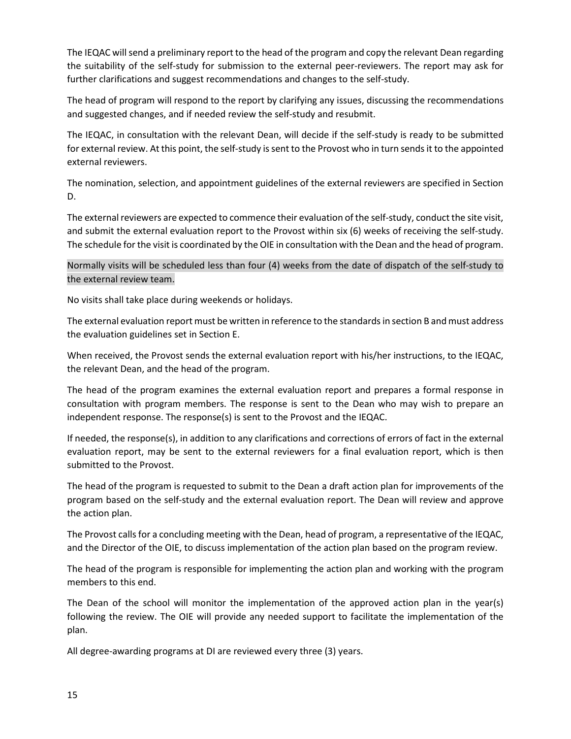The IEQAC will send a preliminary report to the head of the program and copy the relevant Dean regarding the suitability of the self-study for submission to the external peer-reviewers. The report may ask for further clarifications and suggest recommendations and changes to the self-study.

The head of program will respond to the report by clarifying any issues, discussing the recommendations and suggested changes, and if needed review the self-study and resubmit.

The IEQAC, in consultation with the relevant Dean, will decide if the self-study is ready to be submitted for external review. At this point, the self-study is sent to the Provost who in turn sends it to the appointed external reviewers.

The nomination, selection, and appointment guidelines of the external reviewers are specified in Section D.

The external reviewers are expected to commence their evaluation of the self-study, conduct the site visit, and submit the external evaluation report to the Provost within six (6) weeks of receiving the self-study. The schedule for the visit is coordinated by the OIE in consultation with the Dean and the head of program.

# Normally visits will be scheduled less than four (4) weeks from the date of dispatch of the self-study to the external review team.

No visits shall take place during weekends or holidays.

The external evaluation report must be written in reference to the standards in section B and must address the evaluation guidelines set in Section E.

When received, the Provost sends the external evaluation report with his/her instructions, to the IEQAC, the relevant Dean, and the head of the program.

The head of the program examines the external evaluation report and prepares a formal response in consultation with program members. The response is sent to the Dean who may wish to prepare an independent response. The response(s) is sent to the Provost and the IEQAC.

If needed, the response(s), in addition to any clarifications and corrections of errors of fact in the external evaluation report, may be sent to the external reviewers for a final evaluation report, which is then submitted to the Provost.

The head of the program is requested to submit to the Dean a draft action plan for improvements of the program based on the self-study and the external evaluation report. The Dean will review and approve the action plan.

The Provost calls for a concluding meeting with the Dean, head of program, a representative of the IEQAC, and the Director of the OIE, to discuss implementation of the action plan based on the program review.

The head of the program is responsible for implementing the action plan and working with the program members to this end.

The Dean of the school will monitor the implementation of the approved action plan in the year(s) following the review. The OIE will provide any needed support to facilitate the implementation of the plan.

All degree-awarding programs at DI are reviewed every three (3) years.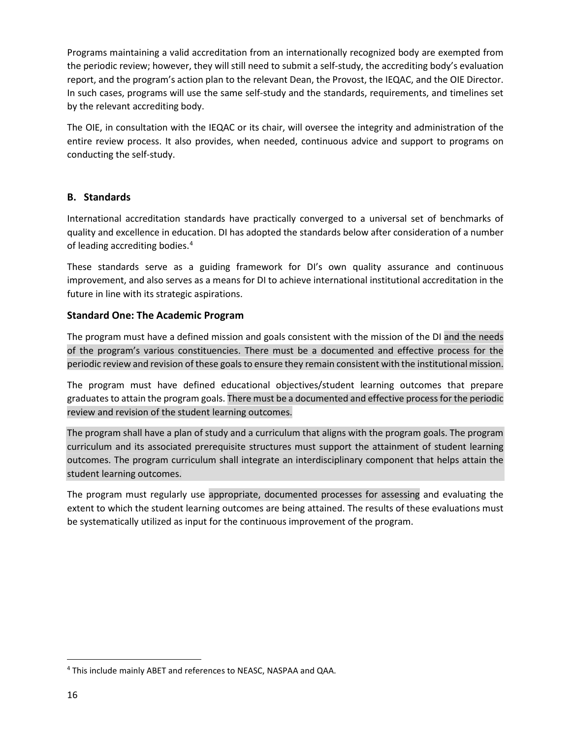Programs maintaining a valid accreditation from an internationally recognized body are exempted from the periodic review; however, they will still need to submit a self-study, the accrediting body's evaluation report, and the program's action plan to the relevant Dean, the Provost, the IEQAC, and the OIE Director. In such cases, programs will use the same self-study and the standards, requirements, and timelines set by the relevant accrediting body.

The OIE, in consultation with the IEQAC or its chair, will oversee the integrity and administration of the entire review process. It also provides, when needed, continuous advice and support to programs on conducting the self-study.

# <span id="page-15-0"></span>**B. Standards**

International accreditation standards have practically converged to a universal set of benchmarks of quality and excellence in education. DI has adopted the standards below after consideration of a number of leading accrediting bodies.[4](#page-15-2)

These standards serve as a guiding framework for DI's own quality assurance and continuous improvement, and also serves as a means for DI to achieve international institutional accreditation in the future in line with its strategic aspirations.

# <span id="page-15-1"></span>**Standard One: The Academic Program**

The program must have a defined mission and goals consistent with the mission of the DI and the needs of the program's various constituencies. There must be a documented and effective process for the periodic review and revision of these goals to ensure they remain consistent with the institutional mission.

The program must have defined educational objectives/student learning outcomes that prepare graduates to attain the program goals. There must be a documented and effective process for the periodic review and revision of the student learning outcomes.

The program shall have a plan of study and a curriculum that aligns with the program goals. The program curriculum and its associated prerequisite structures must support the attainment of student learning outcomes. The program curriculum shall integrate an interdisciplinary component that helps attain the student learning outcomes.

The program must regularly use appropriate, documented processes for assessing and evaluating the extent to which the student learning outcomes are being attained. The results of these evaluations must be systematically utilized as input for the continuous improvement of the program.

<span id="page-15-2"></span> <sup>4</sup> This include mainly ABET and references to NEASC, NASPAA and QAA.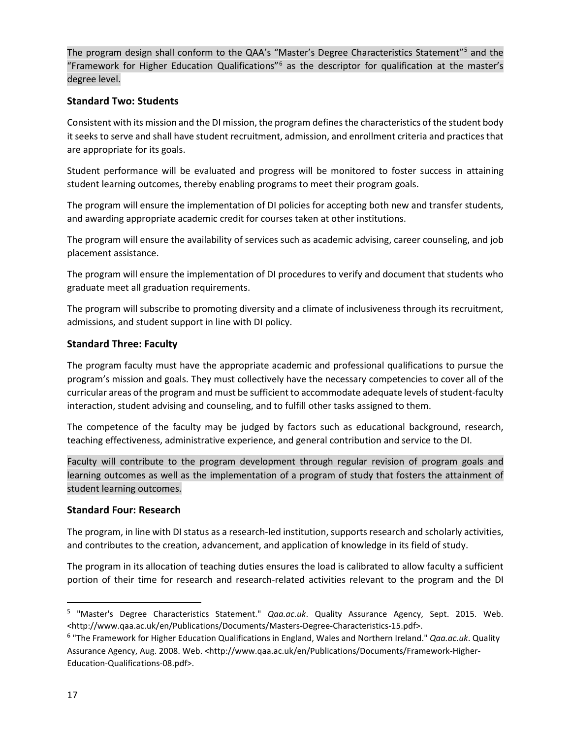The program design shall conform to the QAA's "Master's Degree Characteristics Statement"<sup>[5](#page-16-3)</sup> and the "Framework for Higher Education Qualifications"[6](#page-16-4) as the descriptor for qualification at the master's degree level.

# <span id="page-16-0"></span>**Standard Two: Students**

Consistent with its mission and the DI mission, the program definesthe characteristics of the student body it seeks to serve and shall have student recruitment, admission, and enrollment criteria and practices that are appropriate for its goals.

Student performance will be evaluated and progress will be monitored to foster success in attaining student learning outcomes, thereby enabling programs to meet their program goals.

The program will ensure the implementation of DI policies for accepting both new and transfer students, and awarding appropriate academic credit for courses taken at other institutions.

The program will ensure the availability of services such as academic advising, career counseling, and job placement assistance.

The program will ensure the implementation of DI procedures to verify and document that students who graduate meet all graduation requirements.

The program will subscribe to promoting diversity and a climate of inclusiveness through its recruitment, admissions, and student support in line with DI policy.

# <span id="page-16-1"></span>**Standard Three: Faculty**

The program faculty must have the appropriate academic and professional qualifications to pursue the program's mission and goals. They must collectively have the necessary competencies to cover all of the curricular areas of the program and must be sufficient to accommodate adequate levels of student-faculty interaction, student advising and counseling, and to fulfill other tasks assigned to them.

The competence of the faculty may be judged by factors such as educational background, research, teaching effectiveness, administrative experience, and general contribution and service to the DI.

Faculty will contribute to the program development through regular revision of program goals and learning outcomes as well as the implementation of a program of study that fosters the attainment of student learning outcomes.

# <span id="page-16-2"></span>**Standard Four: Research**

The program, in line with DI status as a research-led institution, supports research and scholarly activities, and contributes to the creation, advancement, and application of knowledge in its field of study.

The program in its allocation of teaching duties ensures the load is calibrated to allow faculty a sufficient portion of their time for research and research-related activities relevant to the program and the DI

<span id="page-16-3"></span> <sup>5</sup> "Master's Degree Characteristics Statement." *Qaa.ac.uk*. Quality Assurance Agency, Sept. 2015. Web. <http://www.qaa.ac.uk/en/Publications/Documents/Masters-Degree-Characteristics-15.pdf>.

<span id="page-16-4"></span><sup>6</sup> "The Framework for Higher Education Qualifications in England, Wales and Northern Ireland." *Qaa.ac.uk*. Quality Assurance Agency, Aug. 2008. Web. <http://www.qaa.ac.uk/en/Publications/Documents/Framework-Higher-Education-Qualifications-08.pdf>.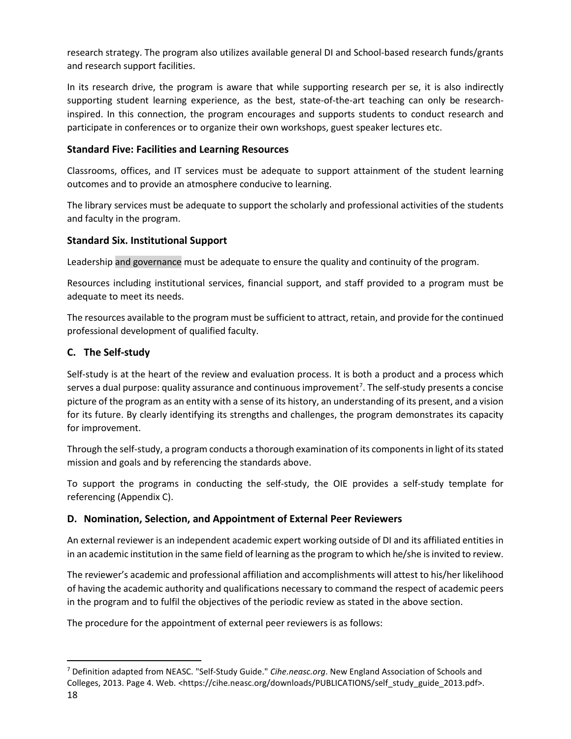research strategy. The program also utilizes available general DI and School-based research funds/grants and research support facilities.

In its research drive, the program is aware that while supporting research per se, it is also indirectly supporting student learning experience, as the best, state-of-the-art teaching can only be researchinspired. In this connection, the program encourages and supports students to conduct research and participate in conferences or to organize their own workshops, guest speaker lectures etc.

# <span id="page-17-0"></span>**Standard Five: Facilities and Learning Resources**

Classrooms, offices, and IT services must be adequate to support attainment of the student learning outcomes and to provide an atmosphere conducive to learning.

The library services must be adequate to support the scholarly and professional activities of the students and faculty in the program.

# <span id="page-17-1"></span>**Standard Six. Institutional Support**

Leadership and governance must be adequate to ensure the quality and continuity of the program.

Resources including institutional services, financial support, and staff provided to a program must be adequate to meet its needs.

The resources available to the program must be sufficient to attract, retain, and provide for the continued professional development of qualified faculty.

# <span id="page-17-2"></span>**C. The Self-study**

Self-study is at the heart of the review and evaluation process. It is both a product and a process which serves a dual purpose: quality assurance and continuous improvement<sup>[7](#page-17-4)</sup>. The self-study presents a concise picture of the program as an entity with a sense of its history, an understanding of its present, and a vision for its future. By clearly identifying its strengths and challenges, the program demonstrates its capacity for improvement.

Through the self-study, a program conducts a thorough examination of its components in light of its stated mission and goals and by referencing the standards above.

To support the programs in conducting the self-study, the OIE provides a self-study template for referencing (Appendix C).

#### <span id="page-17-3"></span>**D. Nomination, Selection, and Appointment of External Peer Reviewers**

An external reviewer is an independent academic expert working outside of DI and its affiliated entities in in an academic institution in the same field of learning as the program to which he/she is invited to review.

The reviewer's academic and professional affiliation and accomplishments will attest to his/her likelihood of having the academic authority and qualifications necessary to command the respect of academic peers in the program and to fulfil the objectives of the periodic review as stated in the above section.

The procedure for the appointment of external peer reviewers is as follows:

<span id="page-17-4"></span> <sup>7</sup> Definition adapted from NEASC. "Self-Study Guide." *Cihe.neasc.org*. New England Association of Schools and Colleges, 2013. Page 4. Web. <https://cihe.neasc.org/downloads/PUBLICATIONS/self\_study\_guide\_2013.pdf>.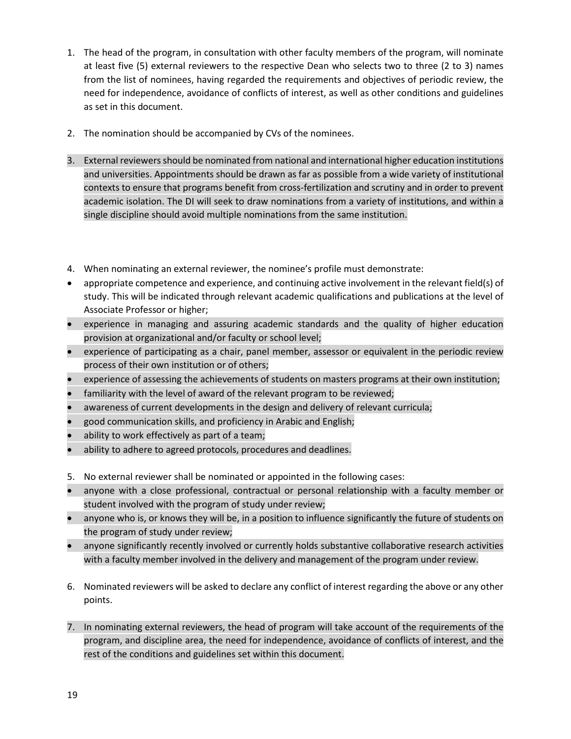- 1. The head of the program, in consultation with other faculty members of the program, will nominate at least five (5) external reviewers to the respective Dean who selects two to three (2 to 3) names from the list of nominees, having regarded the requirements and objectives of periodic review, the need for independence, avoidance of conflicts of interest, as well as other conditions and guidelines as set in this document.
- 2. The nomination should be accompanied by CVs of the nominees.
- 3. External reviewers should be nominated from national and international higher education institutions and universities. Appointments should be drawn as far as possible from a wide variety of institutional contexts to ensure that programs benefit from cross-fertilization and scrutiny and in order to prevent academic isolation. The DI will seek to draw nominations from a variety of institutions, and within a single discipline should avoid multiple nominations from the same institution.
- 4. When nominating an external reviewer, the nominee's profile must demonstrate:
- appropriate competence and experience, and continuing active involvement in the relevant field(s) of study. This will be indicated through relevant academic qualifications and publications at the level of Associate Professor or higher;
- experience in managing and assuring academic standards and the quality of higher education provision at organizational and/or faculty or school level;
- experience of participating as a chair, panel member, assessor or equivalent in the periodic review process of their own institution or of others;
- experience of assessing the achievements of students on masters programs at their own institution;
- familiarity with the level of award of the relevant program to be reviewed;
- awareness of current developments in the design and delivery of relevant curricula;
- good communication skills, and proficiency in Arabic and English;
- ability to work effectively as part of a team;
- ability to adhere to agreed protocols, procedures and deadlines.
- 5. No external reviewer shall be nominated or appointed in the following cases:
- anyone with a close professional, contractual or personal relationship with a faculty member or student involved with the program of study under review;
- anyone who is, or knows they will be, in a position to influence significantly the future of students on the program of study under review;
- anyone significantly recently involved or currently holds substantive collaborative research activities with a faculty member involved in the delivery and management of the program under review.
- 6. Nominated reviewers will be asked to declare any conflict of interest regarding the above or any other points.
- 7. In nominating external reviewers, the head of program will take account of the requirements of the program, and discipline area, the need for independence, avoidance of conflicts of interest, and the rest of the conditions and guidelines set within this document.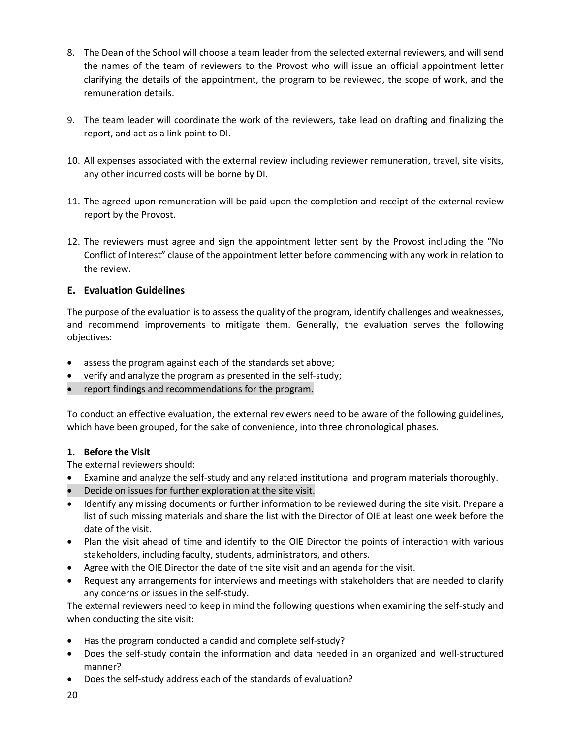- 8. The Dean of the School will choose a team leader from the selected external reviewers, and will send the names of the team of reviewers to the Provost who will issue an official appointment letter clarifying the details of the appointment, the program to be reviewed, the scope of work, and the remuneration details.
- 9. The team leader will coordinate the work of the reviewers, take lead on drafting and finalizing the report, and act as a link point to DI.
- 10. All expenses associated with the external review including reviewer remuneration, travel, site visits, any other incurred costs will be borne by DI.
- 11. The agreed-upon remuneration will be paid upon the completion and receipt of the external review report by the Provost.
- 12. The reviewers must agree and sign the appointment letter sent by the Provost including the "No Conflict of Interest" clause of the appointment letter before commencing with any work in relation to the review.

# <span id="page-19-0"></span>**E. Evaluation Guidelines**

The purpose of the evaluation is to assess the quality of the program, identify challenges and weaknesses, and recommend improvements to mitigate them. Generally, the evaluation serves the following objectives:

- assess the program against each of the standards set above;
- verify and analyze the program as presented in the self-study;
- report findings and recommendations for the program.

To conduct an effective evaluation, the external reviewers need to be aware of the following guidelines, which have been grouped, for the sake of convenience, into three chronological phases.

#### **1. Before the Visit**

The external reviewers should:

- Examine and analyze the self-study and any related institutional and program materials thoroughly.
- Decide on issues for further exploration at the site visit.
- Identify any missing documents or further information to be reviewed during the site visit. Prepare a list of such missing materials and share the list with the Director of OIE at least one week before the date of the visit.
- Plan the visit ahead of time and identify to the OIE Director the points of interaction with various stakeholders, including faculty, students, administrators, and others.
- Agree with the OIE Director the date of the site visit and an agenda for the visit.
- Request any arrangements for interviews and meetings with stakeholders that are needed to clarify any concerns or issues in the self-study.

The external reviewers need to keep in mind the following questions when examining the self-study and when conducting the site visit:

- Has the program conducted a candid and complete self-study?
- Does the self-study contain the information and data needed in an organized and well-structured manner?
- Does the self-study address each of the standards of evaluation?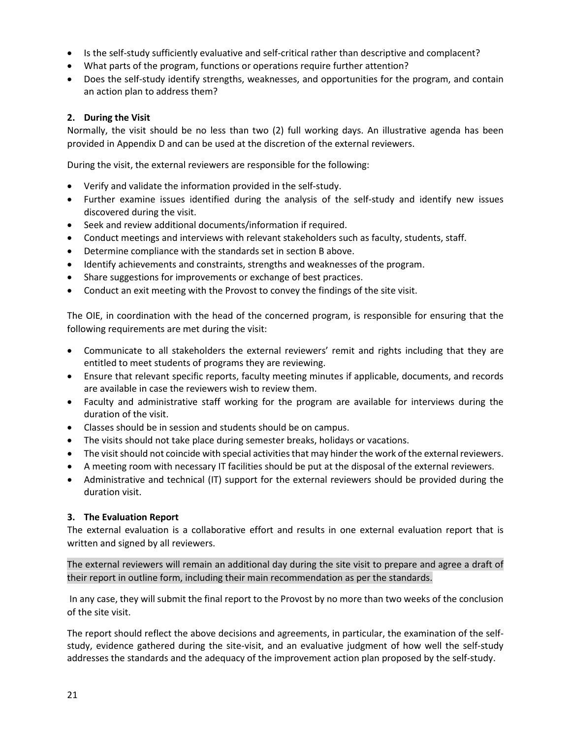- Is the self-study sufficiently evaluative and self-critical rather than descriptive and complacent?
- What parts of the program, functions or operations require further attention?
- Does the self-study identify strengths, weaknesses, and opportunities for the program, and contain an action plan to address them?

#### **2. During the Visit**

Normally, the visit should be no less than two (2) full working days. An illustrative agenda has been provided in Appendix D and can be used at the discretion of the external reviewers.

During the visit, the external reviewers are responsible for the following:

- Verify and validate the information provided in the self-study.
- Further examine issues identified during the analysis of the self-study and identify new issues discovered during the visit.
- Seek and review additional documents/information if required.
- Conduct meetings and interviews with relevant stakeholders such as faculty, students, staff.
- Determine compliance with the standards set in section B above.
- Identify achievements and constraints, strengths and weaknesses of the program.
- Share suggestions for improvements or exchange of best practices.
- Conduct an exit meeting with the Provost to convey the findings of the site visit.

The OIE, in coordination with the head of the concerned program, is responsible for ensuring that the following requirements are met during the visit:

- Communicate to all stakeholders the external reviewers' remit and rights including that they are entitled to meet students of programs they are reviewing.
- Ensure that relevant specific reports, faculty meeting minutes if applicable, documents, and records are available in case the reviewers wish to review them.
- Faculty and administrative staff working for the program are available for interviews during the duration of the visit.
- Classes should be in session and students should be on campus.
- The visits should not take place during semester breaks, holidays or vacations.
- The visit should not coincide with special activities that may hinder the work of the external reviewers.
- A meeting room with necessary IT facilities should be put at the disposal of the external reviewers.
- Administrative and technical (IT) support for the external reviewers should be provided during the duration visit.

#### **3. The Evaluation Report**

The external evaluation is a collaborative effort and results in one external evaluation report that is written and signed by all reviewers.

The external reviewers will remain an additional day during the site visit to prepare and agree a draft of their report in outline form, including their main recommendation as per the standards.

In any case, they will submit the final report to the Provost by no more than two weeks of the conclusion of the site visit.

The report should reflect the above decisions and agreements, in particular, the examination of the selfstudy, evidence gathered during the site-visit, and an evaluative judgment of how well the self-study addresses the standards and the adequacy of the improvement action plan proposed by the self-study.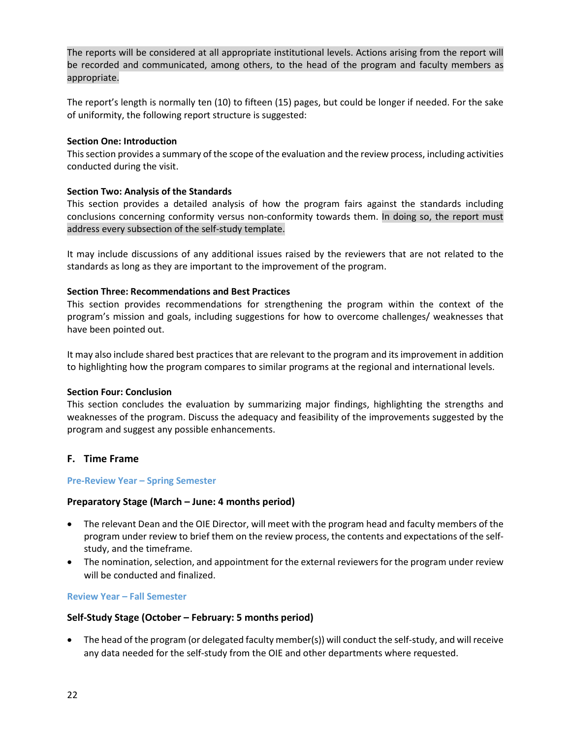The reports will be considered at all appropriate institutional levels. Actions arising from the report will be recorded and communicated, among others, to the head of the program and faculty members as appropriate.

The report's length is normally ten (10) to fifteen (15) pages, but could be longer if needed. For the sake of uniformity, the following report structure is suggested:

#### **Section One: Introduction**

This section provides a summary of the scope of the evaluation and the review process, including activities conducted during the visit.

# **Section Two: Analysis of the Standards**

This section provides a detailed analysis of how the program fairs against the standards including conclusions concerning conformity versus non-conformity towards them. In doing so, the report must address every subsection of the self-study template.

It may include discussions of any additional issues raised by the reviewers that are not related to the standards as long as they are important to the improvement of the program.

# **Section Three: Recommendations and Best Practices**

This section provides recommendations for strengthening the program within the context of the program's mission and goals, including suggestions for how to overcome challenges/ weaknesses that have been pointed out.

It may also include shared best practices that are relevant to the program and its improvement in addition to highlighting how the program compares to similar programs at the regional and international levels.

#### **Section Four: Conclusion**

This section concludes the evaluation by summarizing major findings, highlighting the strengths and weaknesses of the program. Discuss the adequacy and feasibility of the improvements suggested by the program and suggest any possible enhancements.

# <span id="page-21-0"></span>**F. Time Frame**

#### **Pre-Review Year – Spring Semester**

#### **Preparatory Stage (March – June: 4 months period)**

- The relevant Dean and the OIE Director, will meet with the program head and faculty members of the program under review to brief them on the review process, the contents and expectations of the selfstudy, and the timeframe.
- The nomination, selection, and appointment for the external reviewers for the program under review will be conducted and finalized.

#### **Review Year – Fall Semester**

#### **Self-Study Stage (October – February: 5 months period)**

• The head of the program (or delegated faculty member(s)) will conduct the self-study, and will receive any data needed for the self-study from the OIE and other departments where requested.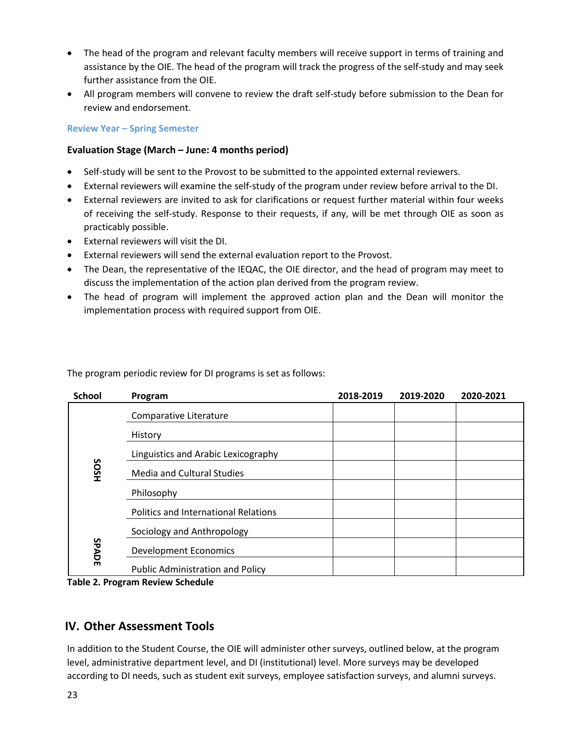- The head of the program and relevant faculty members will receive support in terms of training and assistance by the OIE. The head of the program will track the progress of the self-study and may seek further assistance from the OIE.
- All program members will convene to review the draft self-study before submission to the Dean for review and endorsement.

## **Review Year – Spring Semester**

# **Evaluation Stage (March – June: 4 months period)**

- Self-study will be sent to the Provost to be submitted to the appointed external reviewers.
- External reviewers will examine the self-study of the program under review before arrival to the DI.
- External reviewers are invited to ask for clarifications or request further material within four weeks of receiving the self-study. Response to their requests, if any, will be met through OIE as soon as practicably possible.
- External reviewers will visit the DI.
- External reviewers will send the external evaluation report to the Provost.
- The Dean, the representative of the IEQAC, the OIE director, and the head of program may meet to discuss the implementation of the action plan derived from the program review.
- The head of program will implement the approved action plan and the Dean will monitor the implementation process with required support from OIE.

| <b>School</b> | Program                                     | 2018-2019 | 2019-2020 | 2020-2021 |
|---------------|---------------------------------------------|-----------|-----------|-----------|
|               | Comparative Literature                      |           |           |           |
|               | History                                     |           |           |           |
|               | Linguistics and Arabic Lexicography         |           |           |           |
| <b>SOSH</b>   | <b>Media and Cultural Studies</b>           |           |           |           |
|               | Philosophy                                  |           |           |           |
|               | <b>Politics and International Relations</b> |           |           |           |
|               | Sociology and Anthropology                  |           |           |           |
| SPADE         | <b>Development Economics</b>                |           |           |           |
|               | <b>Public Administration and Policy</b>     |           |           |           |

The program periodic review for DI programs is set as follows:

**Table 2. Program Review Schedule**

# <span id="page-22-0"></span>**IV. Other Assessment Tools**

In addition to the Student Course, the OIE will administer other surveys, outlined below, at the program level, administrative department level, and DI (institutional) level. More surveys may be developed according to DI needs, such as student exit surveys, employee satisfaction surveys, and alumni surveys.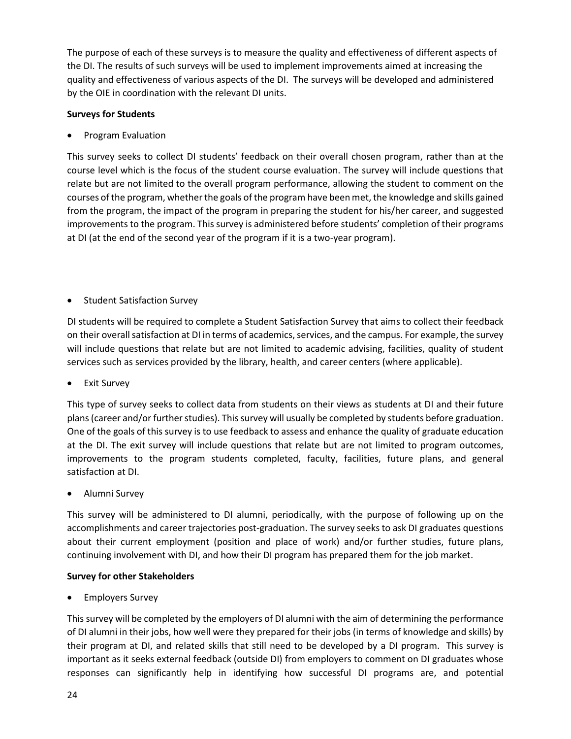The purpose of each of these surveys is to measure the quality and effectiveness of different aspects of the DI. The results of such surveys will be used to implement improvements aimed at increasing the quality and effectiveness of various aspects of the DI. The surveys will be developed and administered by the OIE in coordination with the relevant DI units.

# **Surveys for Students**

• Program Evaluation

This survey seeks to collect DI students' feedback on their overall chosen program, rather than at the course level which is the focus of the student course evaluation. The survey will include questions that relate but are not limited to the overall program performance, allowing the student to comment on the courses of the program, whether the goals of the program have been met, the knowledge and skills gained from the program, the impact of the program in preparing the student for his/her career, and suggested improvements to the program. This survey is administered before students' completion of their programs at DI (at the end of the second year of the program if it is a two-year program).

• Student Satisfaction Survey

DI students will be required to complete a Student Satisfaction Survey that aims to collect their feedback on their overall satisfaction at DI in terms of academics, services, and the campus. For example, the survey will include questions that relate but are not limited to academic advising, facilities, quality of student services such as services provided by the library, health, and career centers (where applicable).

**Exit Survey** 

This type of survey seeks to collect data from students on their views as students at DI and their future plans (career and/or further studies). This survey will usually be completed by students before graduation. One of the goals of this survey is to use feedback to assess and enhance the quality of graduate education at the DI. The exit survey will include questions that relate but are not limited to program outcomes, improvements to the program students completed, faculty, facilities, future plans, and general satisfaction at DI.

• Alumni Survey

This survey will be administered to DI alumni, periodically, with the purpose of following up on the accomplishments and career trajectories post-graduation. The survey seeks to ask DI graduates questions about their current employment (position and place of work) and/or further studies, future plans, continuing involvement with DI, and how their DI program has prepared them for the job market.

#### **Survey for other Stakeholders**

• Employers Survey

This survey will be completed by the employers of DI alumni with the aim of determining the performance of DI alumni in their jobs, how well were they prepared for their jobs (in terms of knowledge and skills) by their program at DI, and related skills that still need to be developed by a DI program. This survey is important as it seeks external feedback (outside DI) from employers to comment on DI graduates whose responses can significantly help in identifying how successful DI programs are, and potential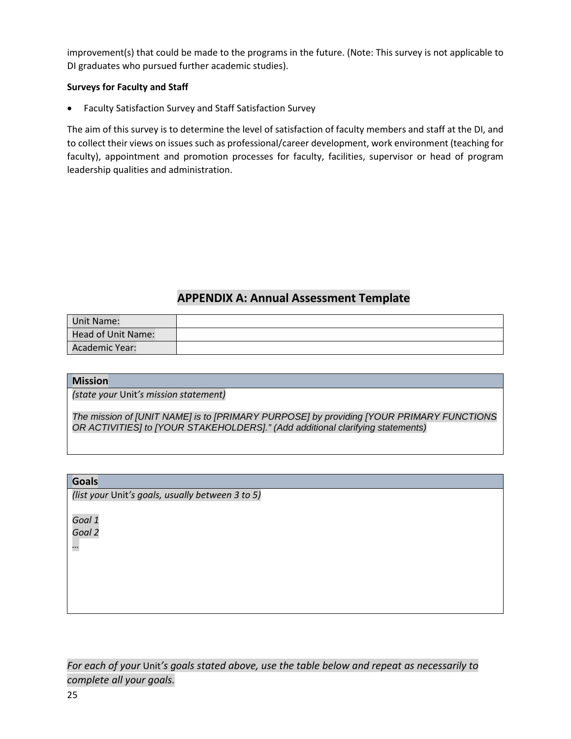improvement(s) that could be made to the programs in the future. (Note: This survey is not applicable to DI graduates who pursued further academic studies).

# **Surveys for Faculty and Staff**

• Faculty Satisfaction Survey and Staff Satisfaction Survey

The aim of this survey is to determine the level of satisfaction of faculty members and staff at the DI, and to collect their views on issues such as professional/career development, work environment (teaching for faculty), appointment and promotion processes for faculty, facilities, supervisor or head of program leadership qualities and administration.

# **APPENDIX A: Annual Assessment Template**

<span id="page-24-0"></span>

| <b>Unit Name:</b>  |  |
|--------------------|--|
| Head of Unit Name: |  |
| Academic Year:     |  |

#### **Mission**

*(state your* Unit*'s mission statement)*

*The mission of [UNIT NAME] is to [PRIMARY PURPOSE] by providing [YOUR PRIMARY FUNCTIONS OR ACTIVITIES] to [YOUR STAKEHOLDERS]." (Add additional clarifying statements)*

#### **Goals**

*(list your* Unit*'s goals, usually between 3 to 5)*

*Goal 1*

*Goal 2*

*…*

*For each of your* Unit*'s goals stated above, use the table below and repeat as necessarily to complete all your goals.*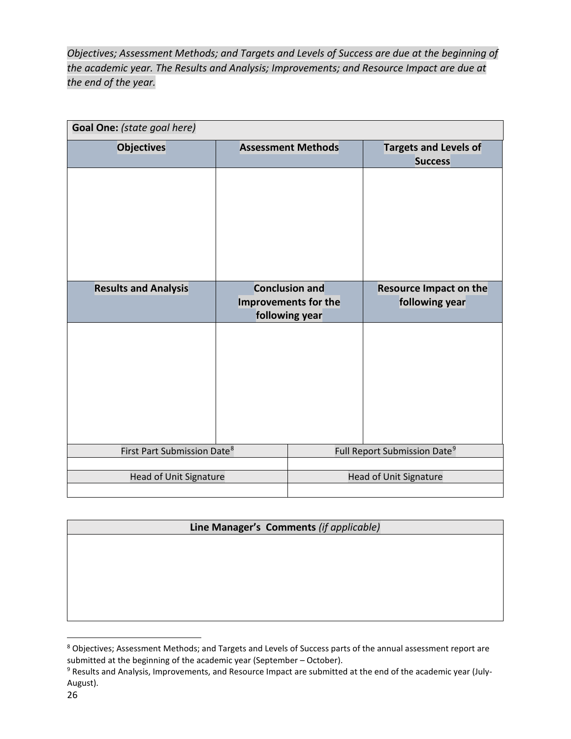*Objectives; Assessment Methods; and Targets and Levels of Success are due at the beginning of the academic year. The Results and Analysis; Improvements; and Resource Impact are due at the end of the year.* 

| Goal One: (state goal here)             |                                                                 |                               |                                                 |  |  |  |
|-----------------------------------------|-----------------------------------------------------------------|-------------------------------|-------------------------------------------------|--|--|--|
| <b>Objectives</b>                       |                                                                 | <b>Assessment Methods</b>     | <b>Targets and Levels of</b><br><b>Success</b>  |  |  |  |
|                                         |                                                                 |                               |                                                 |  |  |  |
| <b>Results and Analysis</b>             | <b>Conclusion and</b><br>Improvements for the<br>following year |                               | <b>Resource Impact on the</b><br>following year |  |  |  |
|                                         |                                                                 |                               |                                                 |  |  |  |
| First Part Submission Date <sup>8</sup> |                                                                 |                               | Full Report Submission Date <sup>9</sup>        |  |  |  |
|                                         |                                                                 | <b>Head of Unit Signature</b> |                                                 |  |  |  |
| <b>Head of Unit Signature</b>           |                                                                 |                               |                                                 |  |  |  |

# **Line Manager's Comments** *(if applicable)*

<span id="page-25-0"></span> <sup>8</sup> Objectives; Assessment Methods; and Targets and Levels of Success parts of the annual assessment report are submitted at the beginning of the academic year (September – October).

<span id="page-25-1"></span><sup>9</sup> Results and Analysis, Improvements, and Resource Impact are submitted at the end of the academic year (July-August).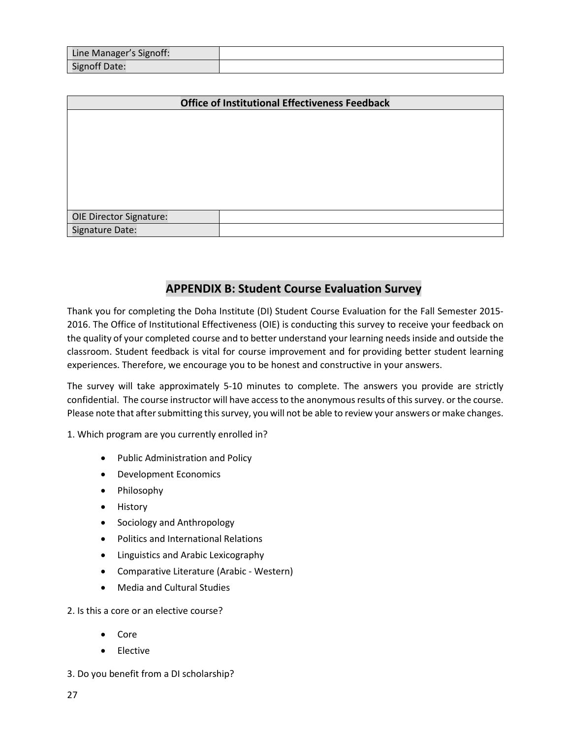| Line Manager's Signoff: |  |
|-------------------------|--|
| <b>Signoff Date:</b>    |  |

| <b>Office of Institutional Effectiveness Feedback</b> |  |  |  |  |  |  |
|-------------------------------------------------------|--|--|--|--|--|--|
|                                                       |  |  |  |  |  |  |
|                                                       |  |  |  |  |  |  |
|                                                       |  |  |  |  |  |  |
|                                                       |  |  |  |  |  |  |
|                                                       |  |  |  |  |  |  |
|                                                       |  |  |  |  |  |  |
| <b>OIE Director Signature:</b>                        |  |  |  |  |  |  |
| Signature Date:                                       |  |  |  |  |  |  |

# **APPENDIX B: Student Course Evaluation Survey**

<span id="page-26-0"></span>Thank you for completing the Doha Institute (DI) Student Course Evaluation for the Fall Semester 2015- 2016. The Office of Institutional Effectiveness (OIE) is conducting this survey to receive your feedback on the quality of your completed course and to better understand your learning needs inside and outside the classroom. Student feedback is vital for course improvement and for providing better student learning experiences. Therefore, we encourage you to be honest and constructive in your answers.

The survey will take approximately 5-10 minutes to complete. The answers you provide are strictly confidential. The course instructor will have access to the anonymous results of this survey. or the course. Please note that after submitting this survey, you will not be able to review your answers or make changes.

1. Which program are you currently enrolled in?

- Public Administration and Policy
- Development Economics
- Philosophy
- History
- Sociology and Anthropology
- Politics and International Relations
- Linguistics and Arabic Lexicography
- Comparative Literature (Arabic Western)
- Media and Cultural Studies

2. Is this a core or an elective course?

- Core
- Elective
- 3. Do you benefit from a DI scholarship?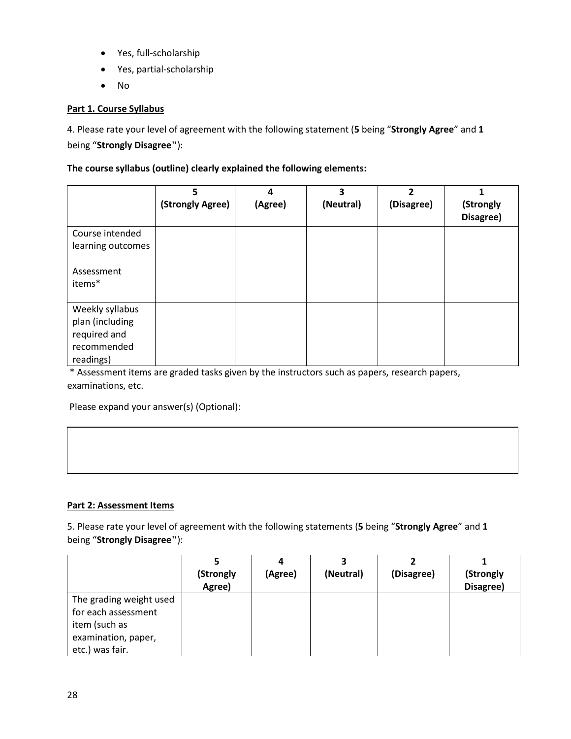- Yes, full-scholarship
- Yes, partial-scholarship
- No

# **Part 1. Course Syllabus**

4. Please rate your level of agreement with the following statement (**5** being "**Strongly Agree**" and **1** being "**Strongly Disagree"**):

## **The course syllabus (outline) clearly explained the following elements:**

|                                 | 5<br>(Strongly Agree) | 4<br>(Agree) | 3<br>(Neutral) | $\overline{2}$<br>(Disagree) | (Strongly<br>Disagree) |
|---------------------------------|-----------------------|--------------|----------------|------------------------------|------------------------|
| Course intended                 |                       |              |                |                              |                        |
| learning outcomes               |                       |              |                |                              |                        |
| Assessment<br>items*            |                       |              |                |                              |                        |
| Weekly syllabus                 |                       |              |                |                              |                        |
| plan (including<br>required and |                       |              |                |                              |                        |
| recommended<br>readings)        |                       |              |                |                              |                        |

\* Assessment items are graded tasks given by the instructors such as papers, research papers, examinations, etc.

Please expand your answer(s) (Optional):

# **Part 2: Assessment Items**

5. Please rate your level of agreement with the following statements (**5** being "**Strongly Agree**" and **1** being "**Strongly Disagree"**):

|                         | (Strongly | (Agree) | (Neutral) | (Disagree) | (Strongly |
|-------------------------|-----------|---------|-----------|------------|-----------|
|                         | Agree)    |         |           |            | Disagree) |
| The grading weight used |           |         |           |            |           |
| for each assessment     |           |         |           |            |           |
| item (such as           |           |         |           |            |           |
| examination, paper,     |           |         |           |            |           |
| etc.) was fair.         |           |         |           |            |           |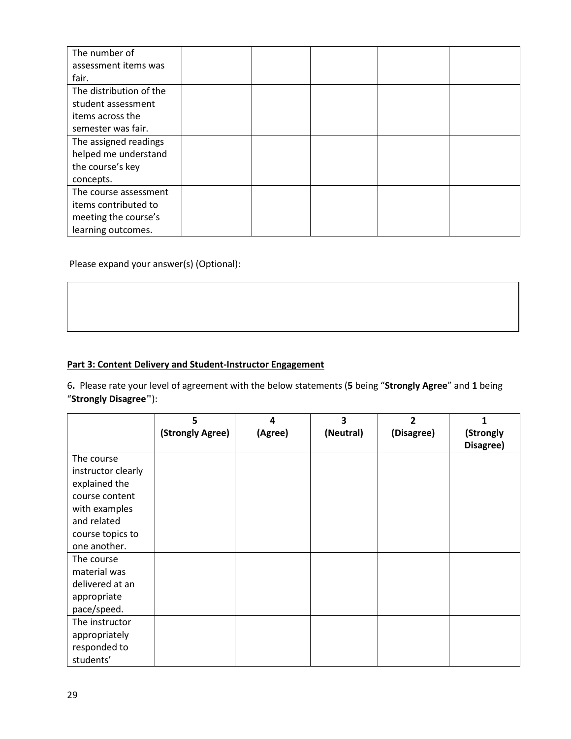| The number of           |  |  |  |
|-------------------------|--|--|--|
| assessment items was    |  |  |  |
| fair.                   |  |  |  |
| The distribution of the |  |  |  |
| student assessment      |  |  |  |
| items across the        |  |  |  |
| semester was fair.      |  |  |  |
| The assigned readings   |  |  |  |
| helped me understand    |  |  |  |
| the course's key        |  |  |  |
| concepts.               |  |  |  |
| The course assessment   |  |  |  |
| items contributed to    |  |  |  |
| meeting the course's    |  |  |  |
| learning outcomes.      |  |  |  |

Please expand your answer(s) (Optional):

# **Part 3: Content Delivery and Student-Instructor Engagement**

6**.** Please rate your level of agreement with the below statements (**5** being "**Strongly Agree**" and **1** being "**Strongly Disagree"**):

|                    | 5                | 4       | 3         | 2          | 1         |
|--------------------|------------------|---------|-----------|------------|-----------|
|                    | (Strongly Agree) | (Agree) | (Neutral) | (Disagree) | (Strongly |
|                    |                  |         |           |            | Disagree) |
| The course         |                  |         |           |            |           |
| instructor clearly |                  |         |           |            |           |
| explained the      |                  |         |           |            |           |
| course content     |                  |         |           |            |           |
| with examples      |                  |         |           |            |           |
| and related        |                  |         |           |            |           |
| course topics to   |                  |         |           |            |           |
| one another.       |                  |         |           |            |           |
| The course         |                  |         |           |            |           |
| material was       |                  |         |           |            |           |
| delivered at an    |                  |         |           |            |           |
| appropriate        |                  |         |           |            |           |
| pace/speed.        |                  |         |           |            |           |
| The instructor     |                  |         |           |            |           |
| appropriately      |                  |         |           |            |           |
| responded to       |                  |         |           |            |           |
| students'          |                  |         |           |            |           |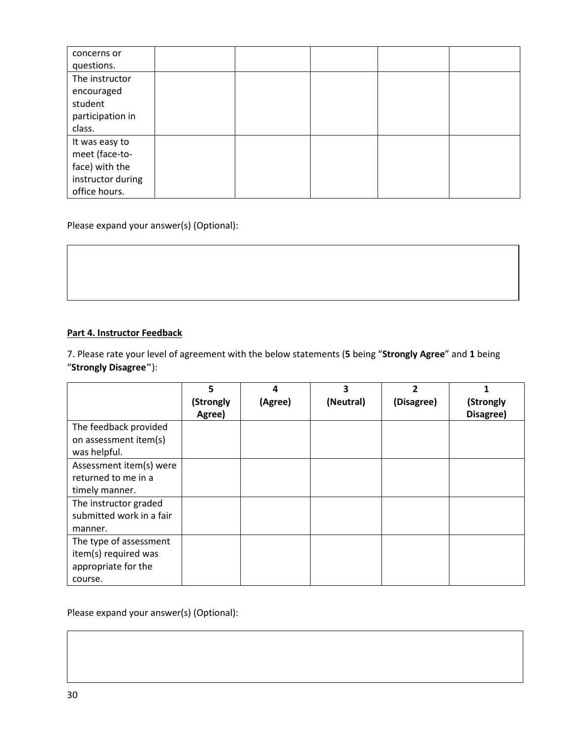| concerns or       |  |  |  |
|-------------------|--|--|--|
| questions.        |  |  |  |
| The instructor    |  |  |  |
| encouraged        |  |  |  |
| student           |  |  |  |
| participation in  |  |  |  |
| class.            |  |  |  |
| It was easy to    |  |  |  |
| meet (face-to-    |  |  |  |
| face) with the    |  |  |  |
| instructor during |  |  |  |
| office hours.     |  |  |  |

Please expand your answer(s) (Optional):

# **Part 4. Instructor Feedback**

7. Please rate your level of agreement with the below statements (**5** being "**Strongly Agree**" and **1** being "**Strongly Disagree"**):

|                          | 5         | 4       | 3         | 2          |           |
|--------------------------|-----------|---------|-----------|------------|-----------|
|                          | (Strongly | (Agree) | (Neutral) | (Disagree) | (Strongly |
|                          | Agree)    |         |           |            | Disagree) |
| The feedback provided    |           |         |           |            |           |
| on assessment item(s)    |           |         |           |            |           |
| was helpful.             |           |         |           |            |           |
| Assessment item(s) were  |           |         |           |            |           |
| returned to me in a      |           |         |           |            |           |
| timely manner.           |           |         |           |            |           |
| The instructor graded    |           |         |           |            |           |
| submitted work in a fair |           |         |           |            |           |
| manner.                  |           |         |           |            |           |
| The type of assessment   |           |         |           |            |           |
| item(s) required was     |           |         |           |            |           |
| appropriate for the      |           |         |           |            |           |
| course.                  |           |         |           |            |           |

Please expand your answer(s) (Optional):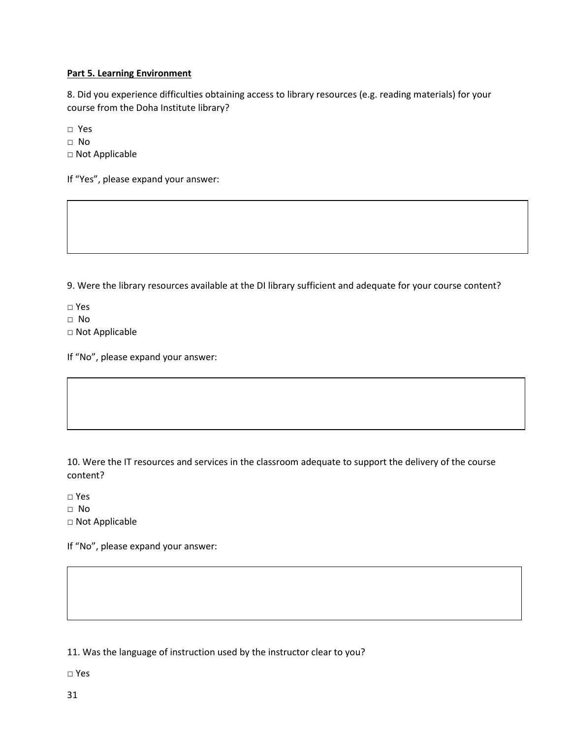## **Part 5. Learning Environment**

8. Did you experience difficulties obtaining access to library resources (e.g. reading materials) for your course from the Doha Institute library?

□ Yes

□ No

□ Not Applicable

If "Yes", please expand your answer:

9. Were the library resources available at the DI library sufficient and adequate for your course content?

□ Yes

□ No

□ Not Applicable

If "No", please expand your answer:

10. Were the IT resources and services in the classroom adequate to support the delivery of the course content?

□ Yes

□ No

□ Not Applicable

If "No", please expand your answer:

11. Was the language of instruction used by the instructor clear to you?

□ Yes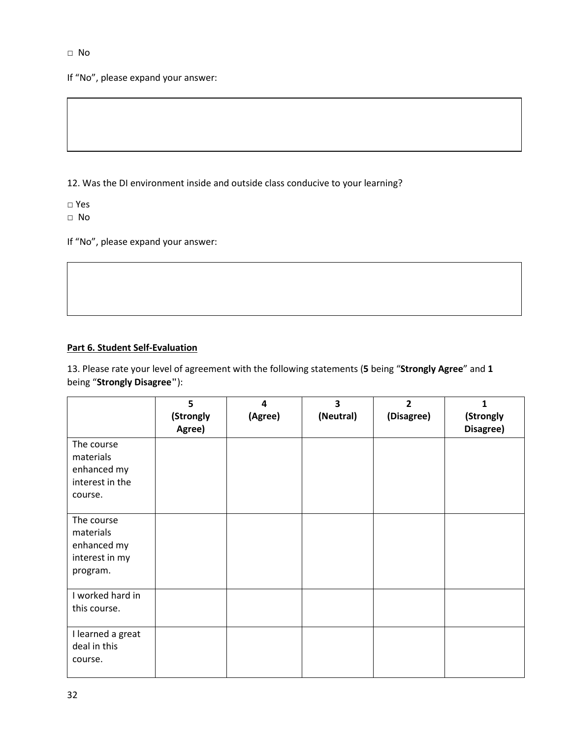If "No", please expand your answer:

12. Was the DI environment inside and outside class conducive to your learning?

□ Yes

□ No

If "No", please expand your answer:

# **Part 6. Student Self-Evaluation**

13. Please rate your level of agreement with the following statements (**5** being "**Strongly Agree**" and **1** being "**Strongly Disagree"**):

|                                                                      | 5<br>(Strongly | 4<br>(Agree) | 3<br>(Neutral) | $\overline{2}$<br>(Disagree) | 1<br>(Strongly |
|----------------------------------------------------------------------|----------------|--------------|----------------|------------------------------|----------------|
| The course<br>materials<br>enhanced my<br>interest in the<br>course. | Agree)         |              |                |                              | Disagree)      |
| The course<br>materials<br>enhanced my<br>interest in my<br>program. |                |              |                |                              |                |
| I worked hard in<br>this course.                                     |                |              |                |                              |                |
| I learned a great<br>deal in this<br>course.                         |                |              |                |                              |                |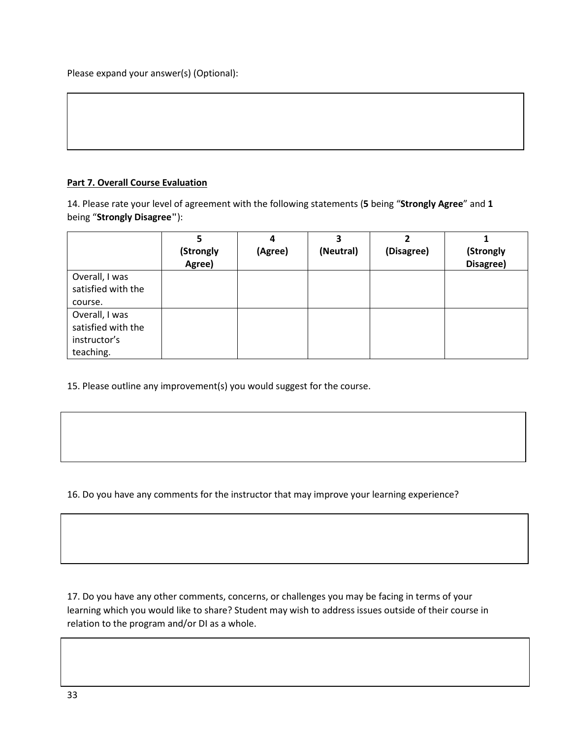# **Part 7. Overall Course Evaluation**

14. Please rate your level of agreement with the following statements (**5** being "**Strongly Agree**" and **1** being "**Strongly Disagree"**):

|                    | 5                   | 4       | כ<br>(Neutral) | (Disagree) |                        |
|--------------------|---------------------|---------|----------------|------------|------------------------|
|                    | (Strongly<br>Agree) | (Agree) |                |            | (Strongly<br>Disagree) |
| Overall, I was     |                     |         |                |            |                        |
| satisfied with the |                     |         |                |            |                        |
| course.            |                     |         |                |            |                        |
| Overall, I was     |                     |         |                |            |                        |
| satisfied with the |                     |         |                |            |                        |
| instructor's       |                     |         |                |            |                        |
| teaching.          |                     |         |                |            |                        |

15. Please outline any improvement(s) you would suggest for the course.

16. Do you have any comments for the instructor that may improve your learning experience?

17. Do you have any other comments, concerns, or challenges you may be facing in terms of your learning which you would like to share? Student may wish to address issues outside of their course in relation to the program and/or DI as a whole.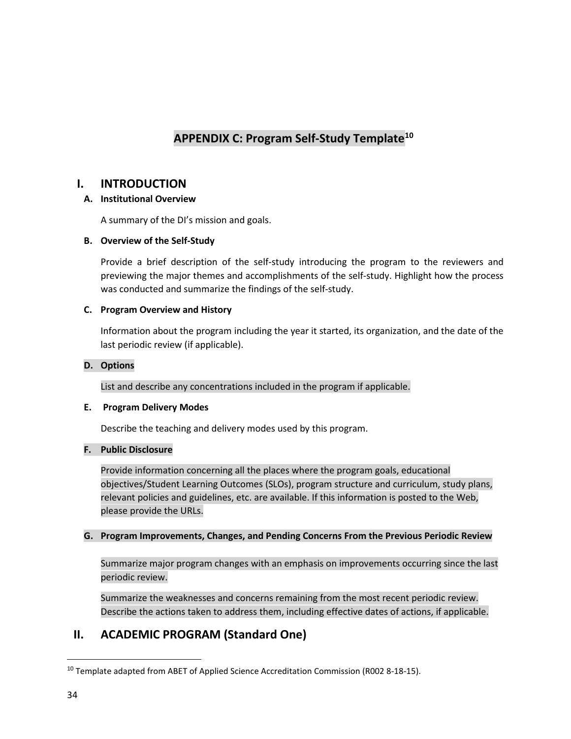# **APPENDIX C: Program Self-Study Templat[e10](#page-33-1)**

# <span id="page-33-0"></span>**I. INTRODUCTION**

# **A. Institutional Overview**

A summary of the DI's mission and goals.

# **B. Overview of the Self-Study**

Provide a brief description of the self-study introducing the program to the reviewers and previewing the major themes and accomplishments of the self-study. Highlight how the process was conducted and summarize the findings of the self-study.

# **C. Program Overview and History**

Information about the program including the year it started, its organization, and the date of the last periodic review (if applicable).

# **D. Options**

List and describe any concentrations included in the program if applicable.

# **E. Program Delivery Modes**

Describe the teaching and delivery modes used by this program.

# **F. Public Disclosure**

Provide information concerning all the places where the program goals, educational objectives/Student Learning Outcomes (SLOs), program structure and curriculum, study plans, relevant policies and guidelines, etc. are available. If this information is posted to the Web, please provide the URLs.

# **G. Program Improvements, Changes, and Pending Concerns From the Previous Periodic Review**

Summarize major program changes with an emphasis on improvements occurring since the last periodic review.

Summarize the weaknesses and concerns remaining from the most recent periodic review. Describe the actions taken to address them, including effective dates of actions, if applicable.

# **II. ACADEMIC PROGRAM (Standard One)**

<span id="page-33-1"></span><sup>&</sup>lt;sup>10</sup> Template adapted from ABET of Applied Science Accreditation Commission (R002 8-18-15).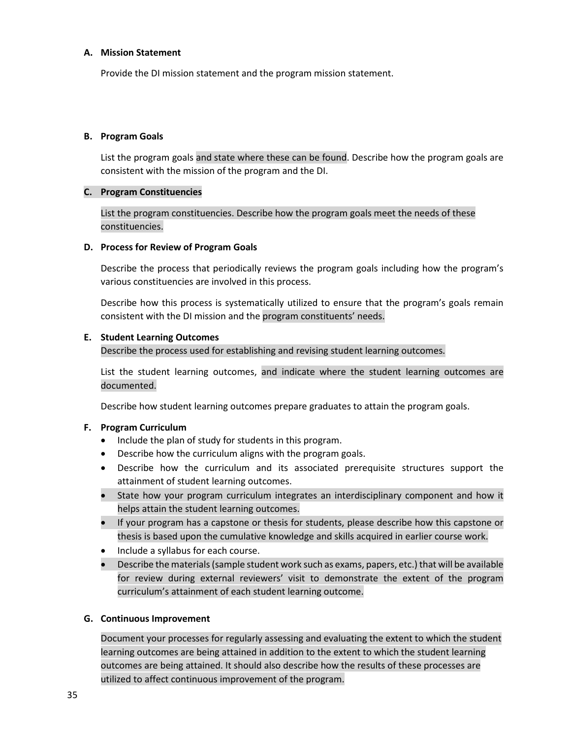#### **A. Mission Statement**

Provide the DI mission statement and the program mission statement.

#### **B. Program Goals**

List the program goals and state where these can be found. Describe how the program goals are consistent with the mission of the program and the DI.

#### **C. Program Constituencies**

List the program constituencies. Describe how the program goals meet the needs of these constituencies.

#### **D. Process for Review of Program Goals**

Describe the process that periodically reviews the program goals including how the program's various constituencies are involved in this process.

Describe how this process is systematically utilized to ensure that the program's goals remain consistent with the DI mission and the program constituents' needs.

#### **E. Student Learning Outcomes**

Describe the process used for establishing and revising student learning outcomes.

List the student learning outcomes, and indicate where the student learning outcomes are documented.

Describe how student learning outcomes prepare graduates to attain the program goals.

#### **F. Program Curriculum**

- Include the plan of study for students in this program.
- Describe how the curriculum aligns with the program goals.
- Describe how the curriculum and its associated prerequisite structures support the attainment of student learning outcomes.
- State how your program curriculum integrates an interdisciplinary component and how it helps attain the student learning outcomes.
- If your program has a capstone or thesis for students, please describe how this capstone or thesis is based upon the cumulative knowledge and skills acquired in earlier course work.
- Include a syllabus for each course.
- Describe the materials (sample student work such as exams, papers, etc.) that will be available for review during external reviewers' visit to demonstrate the extent of the program curriculum's attainment of each student learning outcome.

#### **G. Continuous Improvement**

Document your processes for regularly assessing and evaluating the extent to which the student learning outcomes are being attained in addition to the extent to which the student learning outcomes are being attained. It should also describe how the results of these processes are utilized to affect continuous improvement of the program.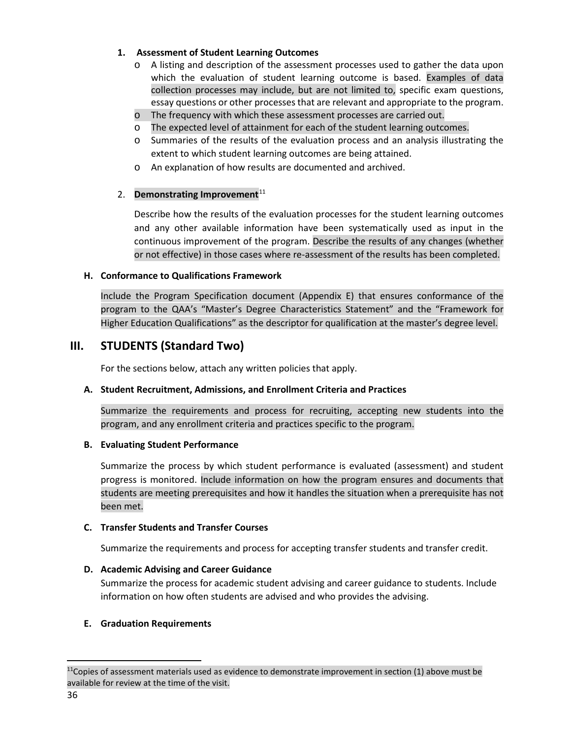# **1. Assessment of Student Learning Outcomes**

- o A listing and description of the assessment processes used to gather the data upon which the evaluation of student learning outcome is based. Examples of data collection processes may include, but are not limited to, specific exam questions, essay questions or other processes that are relevant and appropriate to the program.
- o The frequency with which these assessment processes are carried out.
- o The expected level of attainment for each of the student learning outcomes.
- o Summaries of the results of the evaluation process and an analysis illustrating the extent to which student learning outcomes are being attained.
- o An explanation of how results are documented and archived.

# 2. **Demonstrating Improvement**<sup>[11](#page-35-0)</sup>

Describe how the results of the evaluation processes for the student learning outcomes and any other available information have been systematically used as input in the continuous improvement of the program. Describe the results of any changes (whether or not effective) in those cases where re-assessment of the results has been completed.

#### **H. Conformance to Qualifications Framework**

Include the Program Specification document (Appendix E) that ensures conformance of the program to the QAA's "Master's Degree Characteristics Statement" and the "Framework for Higher Education Qualifications" as the descriptor for qualification at the master's degree level.

# **III. STUDENTS (Standard Two)**

For the sections below, attach any written policies that apply.

# **A. Student Recruitment, Admissions, and Enrollment Criteria and Practices**

Summarize the requirements and process for recruiting, accepting new students into the program, and any enrollment criteria and practices specific to the program.

#### **B. Evaluating Student Performance**

Summarize the process by which student performance is evaluated (assessment) and student progress is monitored. Include information on how the program ensures and documents that students are meeting prerequisites and how it handles the situation when a prerequisite has not been met.

#### **C. Transfer Students and Transfer Courses**

Summarize the requirements and process for accepting transfer students and transfer credit.

# **D. Academic Advising and Career Guidance**

Summarize the process for academic student advising and career guidance to students. Include information on how often students are advised and who provides the advising.

# **E. Graduation Requirements**

<span id="page-35-0"></span> $11$ Copies of assessment materials used as evidence to demonstrate improvement in section (1) above must be available for review at the time of the visit.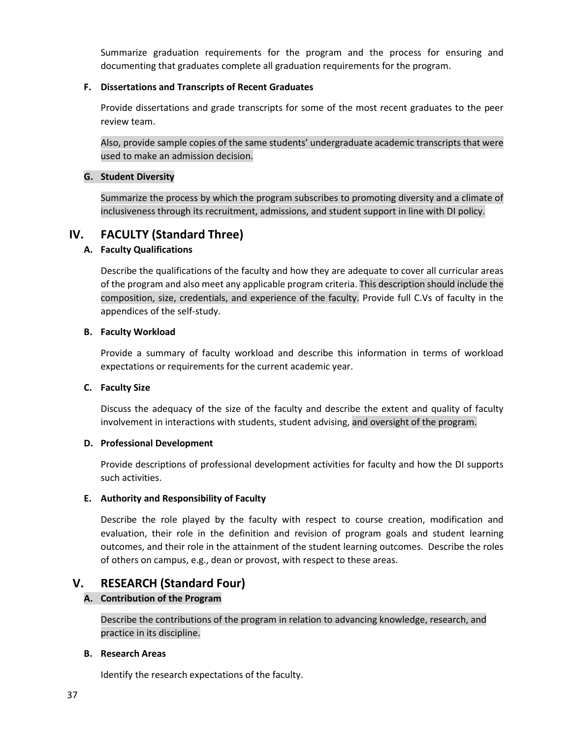Summarize graduation requirements for the program and the process for ensuring and documenting that graduates complete all graduation requirements for the program.

# **F. Dissertations and Transcripts of Recent Graduates**

Provide dissertations and grade transcripts for some of the most recent graduates to the peer review team.

Also, provide sample copies of the same students' undergraduate academic transcripts that were used to make an admission decision.

# **G. Student Diversity**

Summarize the process by which the program subscribes to promoting diversity and a climate of inclusiveness through its recruitment, admissions, and student support in line with DI policy.

# **IV. FACULTY (Standard Three)**

# **A. Faculty Qualifications**

Describe the qualifications of the faculty and how they are adequate to cover all curricular areas of the program and also meet any applicable program criteria. This description should include the composition, size, credentials, and experience of the faculty. Provide full C.Vs of faculty in the appendices of the self-study.

# **B. Faculty Workload**

Provide a summary of faculty workload and describe this information in terms of workload expectations or requirements for the current academic year.

#### **C. Faculty Size**

Discuss the adequacy of the size of the faculty and describe the extent and quality of faculty involvement in interactions with students, student advising, and oversight of the program.

#### **D. Professional Development**

Provide descriptions of professional development activities for faculty and how the DI supports such activities.

# **E. Authority and Responsibility of Faculty**

Describe the role played by the faculty with respect to course creation, modification and evaluation, their role in the definition and revision of program goals and student learning outcomes, and their role in the attainment of the student learning outcomes. Describe the roles of others on campus, e.g., dean or provost, with respect to these areas.

# **V. RESEARCH (Standard Four)**

# **A. Contribution of the Program**

Describe the contributions of the program in relation to advancing knowledge, research, and practice in its discipline.

#### **B. Research Areas**

Identify the research expectations of the faculty.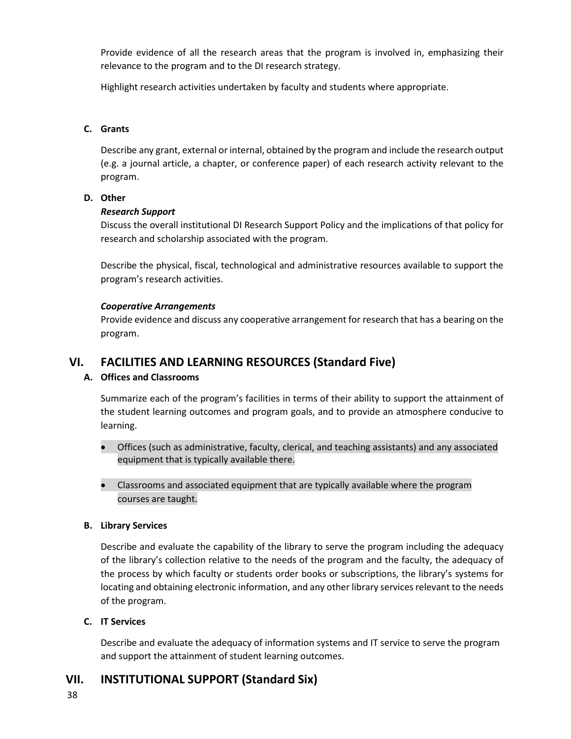Provide evidence of all the research areas that the program is involved in, emphasizing their relevance to the program and to the DI research strategy.

Highlight research activities undertaken by faculty and students where appropriate.

## **C. Grants**

Describe any grant, external or internal, obtained by the program and include the research output (e.g. a journal article, a chapter, or conference paper) of each research activity relevant to the program.

#### **D. Other**

#### *Research Support*

Discuss the overall institutional DI Research Support Policy and the implications of that policy for research and scholarship associated with the program.

Describe the physical, fiscal, technological and administrative resources available to support the program's research activities.

#### *Cooperative Arrangements*

Provide evidence and discuss any cooperative arrangement for research that has a bearing on the program.

# **VI. FACILITIES AND LEARNING RESOURCES (Standard Five)**

#### **A. Offices and Classrooms**

Summarize each of the program's facilities in terms of their ability to support the attainment of the student learning outcomes and program goals, and to provide an atmosphere conducive to learning.

- Offices (such as administrative, faculty, clerical, and teaching assistants) and any associated equipment that is typically available there.
- Classrooms and associated equipment that are typically available where the program courses are taught.

#### **B. Library Services**

Describe and evaluate the capability of the library to serve the program including the adequacy of the library's collection relative to the needs of the program and the faculty, the adequacy of the process by which faculty or students order books or subscriptions, the library's systems for locating and obtaining electronic information, and any other library services relevant to the needs of the program.

#### **C. IT Services**

Describe and evaluate the adequacy of information systems and IT service to serve the program and support the attainment of student learning outcomes.

# **VII. INSTITUTIONAL SUPPORT (Standard Six)**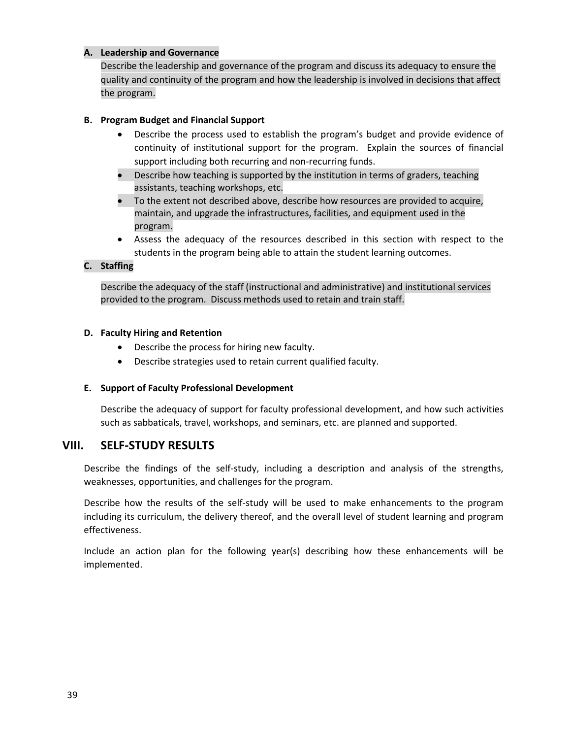## **A. Leadership and Governance**

Describe the leadership and governance of the program and discuss its adequacy to ensure the quality and continuity of the program and how the leadership is involved in decisions that affect the program.

# **B. Program Budget and Financial Support**

- Describe the process used to establish the program's budget and provide evidence of continuity of institutional support for the program. Explain the sources of financial support including both recurring and non-recurring funds.
- Describe how teaching is supported by the institution in terms of graders, teaching assistants, teaching workshops, etc.
- To the extent not described above, describe how resources are provided to acquire, maintain, and upgrade the infrastructures, facilities, and equipment used in the program.
- Assess the adequacy of the resources described in this section with respect to the students in the program being able to attain the student learning outcomes.

# **C. Staffing**

Describe the adequacy of the staff (instructional and administrative) and institutional services provided to the program. Discuss methods used to retain and train staff.

# **D. Faculty Hiring and Retention**

- Describe the process for hiring new faculty.
- Describe strategies used to retain current qualified faculty.

#### **E. Support of Faculty Professional Development**

Describe the adequacy of support for faculty professional development, and how such activities such as sabbaticals, travel, workshops, and seminars, etc. are planned and supported.

# **VIII. SELF-STUDY RESULTS**

Describe the findings of the self-study, including a description and analysis of the strengths, weaknesses, opportunities, and challenges for the program.

Describe how the results of the self-study will be used to make enhancements to the program including its curriculum, the delivery thereof, and the overall level of student learning and program effectiveness.

Include an action plan for the following year(s) describing how these enhancements will be implemented.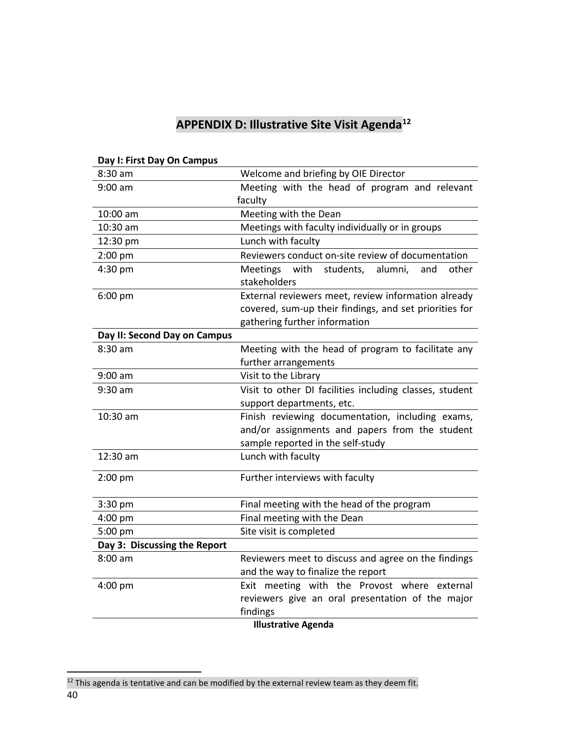# **APPENDIX D: Illustrative Site Visit Agenda[12](#page-39-1)**

| Day 1. Fiist Day Oli Callipus |                                                                                 |  |  |
|-------------------------------|---------------------------------------------------------------------------------|--|--|
| 8:30 am                       | Welcome and briefing by OIE Director                                            |  |  |
| $9:00$ am                     | Meeting with the head of program and relevant                                   |  |  |
|                               | faculty                                                                         |  |  |
| 10:00 am                      | Meeting with the Dean                                                           |  |  |
| 10:30 am                      | Meetings with faculty individually or in groups                                 |  |  |
| 12:30 pm                      | Lunch with faculty                                                              |  |  |
| 2:00 pm                       | Reviewers conduct on-site review of documentation                               |  |  |
| 4:30 pm                       | <b>Meetings</b><br>with<br>students,<br>alumni,<br>other<br>and<br>stakeholders |  |  |
| 6:00 pm                       | External reviewers meet, review information already                             |  |  |
|                               | covered, sum-up their findings, and set priorities for                          |  |  |
|                               | gathering further information                                                   |  |  |
| Day II: Second Day on Campus  |                                                                                 |  |  |
| 8:30 am                       | Meeting with the head of program to facilitate any                              |  |  |
|                               | further arrangements                                                            |  |  |
| $9:00$ am                     | Visit to the Library                                                            |  |  |
| 9:30 am                       | Visit to other DI facilities including classes, student                         |  |  |
|                               | support departments, etc.                                                       |  |  |
| 10:30 am                      | Finish reviewing documentation, including exams,                                |  |  |
|                               | and/or assignments and papers from the student                                  |  |  |
|                               | sample reported in the self-study                                               |  |  |
| 12:30 am                      | Lunch with faculty                                                              |  |  |
| $2:00$ pm                     | Further interviews with faculty                                                 |  |  |
|                               |                                                                                 |  |  |
| 3:30 pm                       | Final meeting with the head of the program                                      |  |  |
| 4:00 pm                       | Final meeting with the Dean                                                     |  |  |
| 5:00 pm                       | Site visit is completed                                                         |  |  |
| Day 3: Discussing the Report  |                                                                                 |  |  |
| $8:00$ am                     | Reviewers meet to discuss and agree on the findings                             |  |  |
|                               | and the way to finalize the report                                              |  |  |
| 4:00 pm                       | Exit meeting with the Provost where external                                    |  |  |
|                               | reviewers give an oral presentation of the major                                |  |  |
|                               | findings                                                                        |  |  |
|                               | <b>Illustrative Agenda</b>                                                      |  |  |

# <span id="page-39-0"></span>**Day I: First Day On Campus**

<span id="page-39-1"></span><sup>40</sup>  $12$  This agenda is tentative and can be modified by the external review team as they deem fit.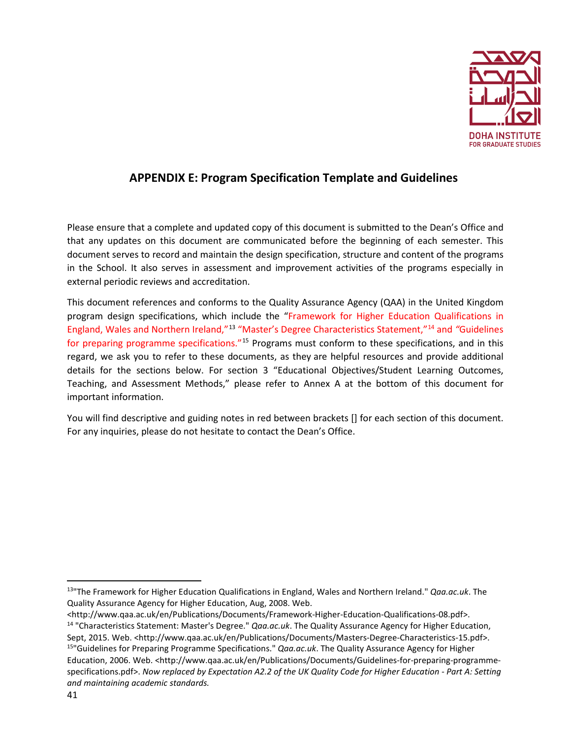

# **APPENDIX E: Program Specification Template and Guidelines**

<span id="page-40-0"></span>Please ensure that a complete and updated copy of this document is submitted to the Dean's Office and that any updates on this document are communicated before the beginning of each semester. This document serves to record and maintain the design specification, structure and content of the programs in the School. It also serves in assessment and improvement activities of the programs especially in external periodic reviews and accreditation.

This document references and conforms to the Quality Assurance Agency (QAA) in the United Kingdom program design specifications, which include the "Framework for Higher Education Qualifications in England, Wales and Northern Ireland,"[13](#page-40-1) "Master's Degree Characteristics Statement,"[14](#page-40-2) and *"*Guidelines for preparing programme specifications."<sup>[15](#page-40-3)</sup> Programs must conform to these specifications, and in this regard, we ask you to refer to these documents, as they are helpful resources and provide additional details for the sections below. For section 3 "Educational Objectives/Student Learning Outcomes, Teaching, and Assessment Methods," please refer to Annex A at the bottom of this document for important information.

You will find descriptive and guiding notes in red between brackets [] for each section of this document. For any inquiries, please do not hesitate to contact the Dean's Office.

<span id="page-40-1"></span> <sup>13&</sup>quot;The Framework for Higher Education Qualifications in England, Wales and Northern Ireland." *Qaa.ac.uk*. The Quality Assurance Agency for Higher Education, Aug, 2008. Web.

<span id="page-40-3"></span><span id="page-40-2"></span><sup>&</sup>lt;http://www.qaa.ac.uk/en/Publications/Documents/Framework-Higher-Education-Qualifications-08.pdf>. 14 "Characteristics Statement: Master's Degree." *Qaa.ac.uk*. The Quality Assurance Agency for Higher Education, Sept, 2015. Web. <http://www.qaa.ac.uk/en/Publications/Documents/Masters-Degree-Characteristics-15.pdf>. 15"Guidelines for Preparing Programme Specifications." *Qaa.ac.uk*. The Quality Assurance Agency for Higher Education, 2006. Web. <http://www.qaa.ac.uk/en/Publications/Documents/Guidelines-for-preparing-programmespecifications.pdf>. *Now replaced by Expectation A2.2 of the UK Quality Code for Higher Education - Part A: Setting and maintaining academic standards.*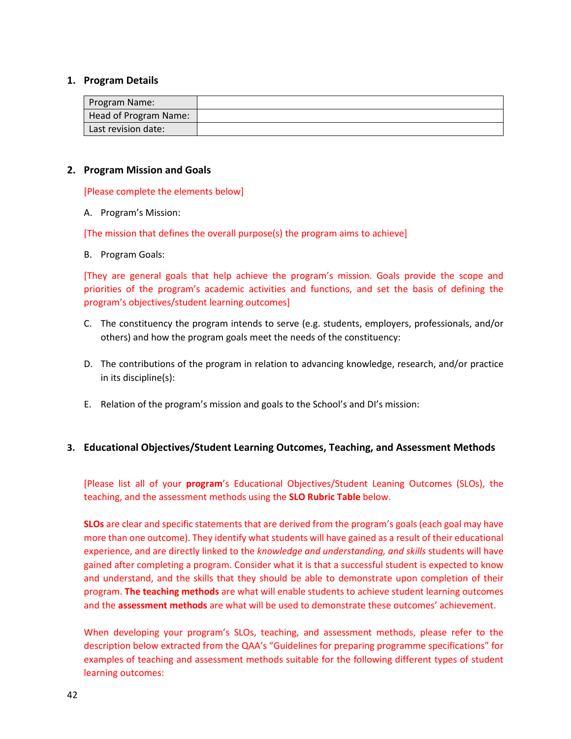#### **1. Program Details**

| Program Name:         |  |
|-----------------------|--|
| Head of Program Name: |  |
| Last revision date:   |  |

#### **2. Program Mission and Goals**

[Please complete the elements below]

A. Program's Mission:

[The mission that defines the overall purpose(s) the program aims to achieve]

B. Program Goals:

[They are general goals that help achieve the program's mission. Goals provide the scope and priorities of the program's academic activities and functions, and set the basis of defining the program's objectives/student learning outcomes]

- C. The constituency the program intends to serve (e.g. students, employers, professionals, and/or others) and how the program goals meet the needs of the constituency:
- D. The contributions of the program in relation to advancing knowledge, research, and/or practice in its discipline(s):
- E. Relation of the program's mission and goals to the School's and DI's mission:

#### **3. Educational Objectives/Student Learning Outcomes, Teaching, and Assessment Methods**

[Please list all of your **program**'s Educational Objectives/Student Leaning Outcomes (SLOs), the teaching, and the assessment methods using the **SLO Rubric Table** below.

**SLOs** are clear and specific statements that are derived from the program's goals (each goal may have more than one outcome). They identify what students will have gained as a result of their educational experience, and are directly linked to the *knowledge and understanding, and skills* students will have gained after completing a program. Consider what it is that a successful student is expected to know and understand, and the skills that they should be able to demonstrate upon completion of their program. **The teaching methods** are what will enable students to achieve student learning outcomes and the **assessment methods** are what will be used to demonstrate these outcomes' achievement.

When developing your program's SLOs, teaching, and assessment methods, please refer to the description below extracted from the QAA's "Guidelines for preparing programme specifications" for examples of teaching and assessment methods suitable for the following different types of student learning outcomes: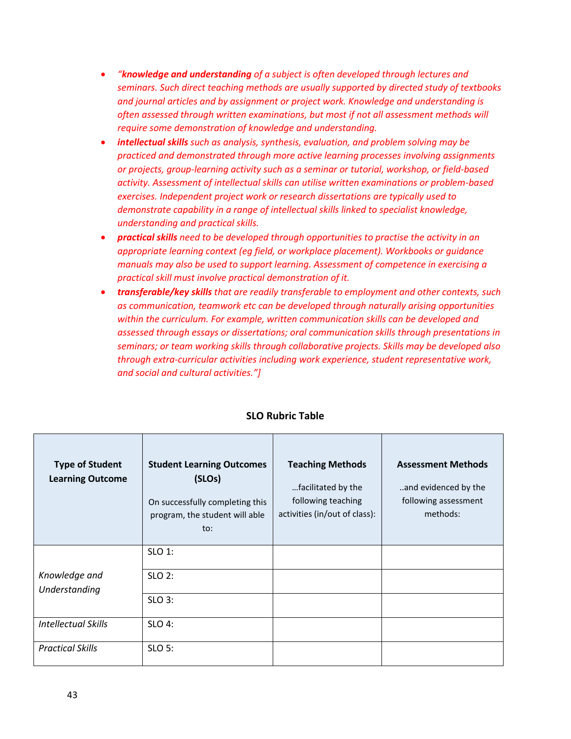- *"knowledge and understanding of a subject is often developed through lectures and seminars. Such direct teaching methods are usually supported by directed study of textbooks and journal articles and by assignment or project work. Knowledge and understanding is often assessed through written examinations, but most if not all assessment methods will require some demonstration of knowledge and understanding.*
- *intellectual skills such as analysis, synthesis, evaluation, and problem solving may be practiced and demonstrated through more active learning processes involving assignments or projects, group-learning activity such as a seminar or tutorial, workshop, or field-based activity. Assessment of intellectual skills can utilise written examinations or problem-based exercises. Independent project work or research dissertations are typically used to demonstrate capability in a range of intellectual skills linked to specialist knowledge, understanding and practical skills.*
- *practical skills need to be developed through opportunities to practise the activity in an appropriate learning context (eg field, or workplace placement). Workbooks or guidance manuals may also be used to support learning. Assessment of competence in exercising a practical skill must involve practical demonstration of it.*
- *transferable/key skills that are readily transferable to employment and other contexts, such as communication, teamwork etc can be developed through naturally arising opportunities within the curriculum. For example, written communication skills can be developed and assessed through essays or dissertations; oral communication skills through presentations in seminars; or team working skills through collaborative projects. Skills may be developed also through extra-curricular activities including work experience, student representative work, and social and cultural activities."]*

| <b>Type of Student</b><br><b>Learning Outcome</b> | <b>Student Learning Outcomes</b><br>(SLOs)<br>On successfully completing this<br>program, the student will able<br>to: | <b>Teaching Methods</b><br>facilitated by the<br>following teaching<br>activities (in/out of class): | <b>Assessment Methods</b><br>and evidenced by the<br>following assessment<br>methods: |
|---------------------------------------------------|------------------------------------------------------------------------------------------------------------------------|------------------------------------------------------------------------------------------------------|---------------------------------------------------------------------------------------|
|                                                   | SLO 1:                                                                                                                 |                                                                                                      |                                                                                       |
| Knowledge and<br>Understanding                    | SLO 2:                                                                                                                 |                                                                                                      |                                                                                       |
|                                                   | <b>SLO 3:</b>                                                                                                          |                                                                                                      |                                                                                       |
| <b>Intellectual Skills</b>                        | SLO 4:                                                                                                                 |                                                                                                      |                                                                                       |
| <b>Practical Skills</b>                           | SLO 5:                                                                                                                 |                                                                                                      |                                                                                       |

# **SLO Rubric Table**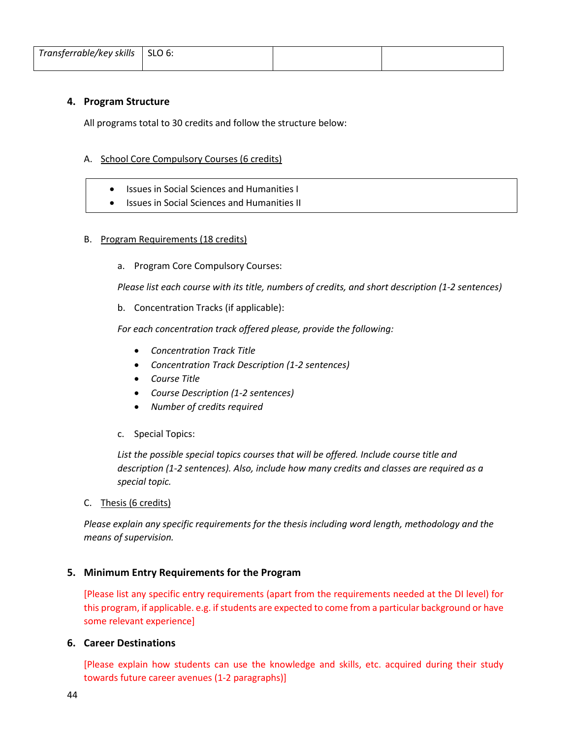| $Transferrable/key$ skills $\vert$ SLO 6: |  |  |
|-------------------------------------------|--|--|
|                                           |  |  |

# **4. Program Structure**

All programs total to 30 credits and follow the structure below:

## A. School Core Compulsory Courses (6 credits)

- Issues in Social Sciences and Humanities I
- Issues in Social Sciences and Humanities II

#### B. Program Requirements (18 credits)

a. Program Core Compulsory Courses:

*Please list each course with its title, numbers of credits, and short description (1-2 sentences)*

b. Concentration Tracks (if applicable):

*For each concentration track offered please, provide the following:*

- *Concentration Track Title*
- *Concentration Track Description (1-2 sentences)*
- *Course Title*
- *Course Description (1-2 sentences)*
- *Number of credits required*
- c. Special Topics:

*List the possible special topics courses that will be offered. Include course title and description (1-2 sentences). Also, include how many credits and classes are required as a special topic.*

#### C. Thesis (6 credits)

*Please explain any specific requirements for the thesis including word length, methodology and the means of supervision.* 

# **5. Minimum Entry Requirements for the Program**

[Please list any specific entry requirements (apart from the requirements needed at the DI level) for this program, if applicable. e.g. if students are expected to come from a particular background or have some relevant experience]

#### **6. Career Destinations**

[Please explain how students can use the knowledge and skills, etc. acquired during their study towards future career avenues (1-2 paragraphs)]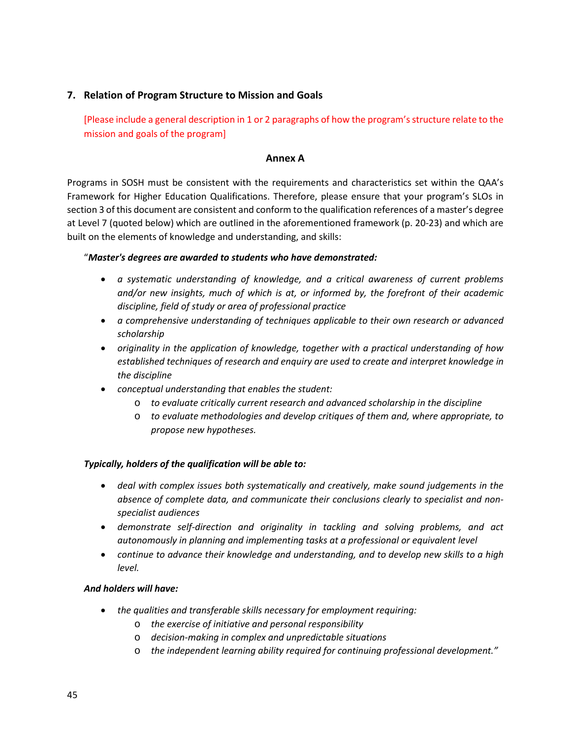# **7. Relation of Program Structure to Mission and Goals**

[Please include a general description in 1 or 2 paragraphs of how the program's structure relate to the mission and goals of the program]

## **Annex A**

Programs in SOSH must be consistent with the requirements and characteristics set within the QAA's Framework for Higher Education Qualifications. Therefore, please ensure that your program's SLOs in section 3 of this document are consistent and conform to the qualification references of a master's degree at Level 7 (quoted below) which are outlined in the aforementioned framework (p. 20-23) and which are built on the elements of knowledge and understanding, and skills:

# "*Master's degrees are awarded to students who have demonstrated:*

- *a systematic understanding of knowledge, and a critical awareness of current problems and/or new insights, much of which is at, or informed by, the forefront of their academic discipline, field of study or area of professional practice*
- *a comprehensive understanding of techniques applicable to their own research or advanced scholarship*
- *originality in the application of knowledge, together with a practical understanding of how established techniques of research and enquiry are used to create and interpret knowledge in the discipline*
- *conceptual understanding that enables the student:* 
	- o *to evaluate critically current research and advanced scholarship in the discipline*
	- o *to evaluate methodologies and develop critiques of them and, where appropriate, to propose new hypotheses.*

#### *Typically, holders of the qualification will be able to:*

- *deal with complex issues both systematically and creatively, make sound judgements in the absence of complete data, and communicate their conclusions clearly to specialist and nonspecialist audiences*
- *demonstrate self-direction and originality in tackling and solving problems, and act autonomously in planning and implementing tasks at a professional or equivalent level*
- *continue to advance their knowledge and understanding, and to develop new skills to a high level.*

#### *And holders will have:*

- *the qualities and transferable skills necessary for employment requiring:*
	- o *the exercise of initiative and personal responsibility*
	- o *decision-making in complex and unpredictable situations*
	- o *the independent learning ability required for continuing professional development."*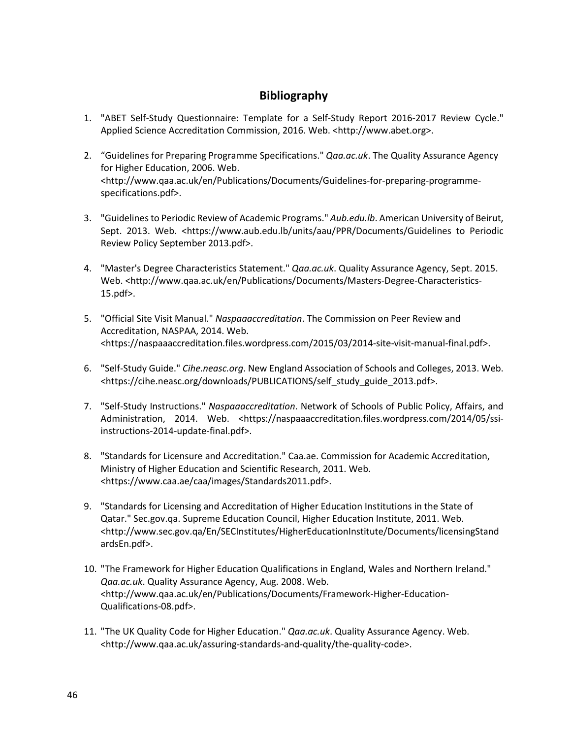# **Bibliography**

- <span id="page-45-0"></span>1. "ABET Self-Study Questionnaire: Template for a Self-Study Report 2016-2017 Review Cycle." Applied Science Accreditation Commission, 2016. Web. <http://www.abet.org>.
- 2. "Guidelines for Preparing Programme Specifications." *Qaa.ac.uk*. The Quality Assurance Agency for Higher Education, 2006. Web. <http://www.qaa.ac.uk/en/Publications/Documents/Guidelines-for-preparing-programmespecifications.pdf>.
- 3. "Guidelines to Periodic Review of Academic Programs." *Aub.edu.lb*. American University of Beirut, Sept. 2013. Web. <https://www.aub.edu.lb/units/aau/PPR/Documents/Guidelines to Periodic Review Policy September 2013.pdf>.
- 4. "Master's Degree Characteristics Statement." *Qaa.ac.uk*. Quality Assurance Agency, Sept. 2015. Web. <http://www.qaa.ac.uk/en/Publications/Documents/Masters-Degree-Characteristics-15.pdf>.
- 5. "Official Site Visit Manual." *Naspaaaccreditation*. The Commission on Peer Review and Accreditation, NASPAA, 2014. Web. <https://naspaaaccreditation.files.wordpress.com/2015/03/2014-site-visit-manual-final.pdf>.
- 6. "Self-Study Guide." *Cihe.neasc.org*. New England Association of Schools and Colleges, 2013. Web. <https://cihe.neasc.org/downloads/PUBLICATIONS/self\_study\_guide\_2013.pdf>.
- 7. "Self-Study Instructions." *Naspaaaccreditation*. Network of Schools of Public Policy, Affairs, and Administration, 2014. Web. <https://naspaaaccreditation.files.wordpress.com/2014/05/ssiinstructions-2014-update-final.pdf>.
- 8. "Standards for Licensure and Accreditation." Caa.ae. Commission for Academic Accreditation, Ministry of Higher Education and Scientific Research, 2011. Web. [<https://www.caa.ae/caa/images/Standards2011.pdf>](https://www.caa.ae/caa/images/Standards2011.pdf).
- 9. "Standards for Licensing and Accreditation of Higher Education Institutions in the State of Qatar." Sec.gov.qa. Supreme Education Council, Higher Education Institute, 2011. Web. [<http://www.sec.gov.qa/En/SECInstitutes/HigherEducationInstitute/Documents/licensingStand](http://www.sec.gov.qa/En/SECInstitutes/HigherEducationInstitute/Documents/licensingStandardsEn.pdf) [ardsEn.pdf>](http://www.sec.gov.qa/En/SECInstitutes/HigherEducationInstitute/Documents/licensingStandardsEn.pdf).
- 10. "The Framework for Higher Education Qualifications in England, Wales and Northern Ireland." *Qaa.ac.uk*. Quality Assurance Agency, Aug. 2008. Web. <http://www.qaa.ac.uk/en/Publications/Documents/Framework-Higher-Education-Qualifications-08.pdf>.
- 11. "The UK Quality Code for Higher Education." *Qaa.ac.uk*. Quality Assurance Agency. Web. <http://www.qaa.ac.uk/assuring-standards-and-quality/the-quality-code>.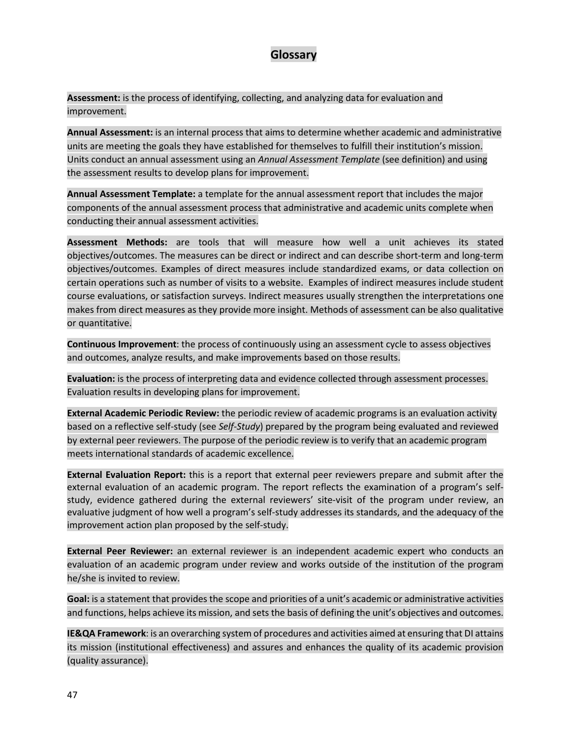# **Glossary**

<span id="page-46-0"></span>**Assessment:** is the process of identifying, collecting, and analyzing data for evaluation and improvement.

**Annual Assessment:** is an internal process that aims to determine whether academic and administrative units are meeting the goals they have established for themselves to fulfill their institution's mission. Units conduct an annual assessment using an *Annual Assessment Template* (see definition) and using the assessment results to develop plans for improvement.

**Annual Assessment Template:** a template for the annual assessment report that includes the major components of the annual assessment process that administrative and academic units complete when conducting their annual assessment activities.

**Assessment Methods:** are tools that will measure how well a unit achieves its stated objectives/outcomes. The measures can be direct or indirect and can describe short-term and long-term objectives/outcomes. Examples of direct measures include standardized exams, or data collection on certain operations such as number of visits to a website. Examples of indirect measures include student course evaluations, or satisfaction surveys. Indirect measures usually strengthen the interpretations one makes from direct measures as they provide more insight. Methods of assessment can be also qualitative or quantitative.

**Continuous Improvement**: the process of continuously using an assessment cycle to assess objectives and outcomes, analyze results, and make improvements based on those results.

**Evaluation:** is the process of interpreting data and evidence collected through assessment processes. Evaluation results in developing plans for improvement.

**External Academic Periodic Review:** the periodic review of academic programs is an evaluation activity based on a reflective self-study (see *Self-Study*) prepared by the program being evaluated and reviewed by external peer reviewers. The purpose of the periodic review is to verify that an academic program meets international standards of academic excellence.

**External Evaluation Report:** this is a report that external peer reviewers prepare and submit after the external evaluation of an academic program. The report reflects the examination of a program's selfstudy, evidence gathered during the external reviewers' site-visit of the program under review, an evaluative judgment of how well a program's self-study addresses its standards, and the adequacy of the improvement action plan proposed by the self-study.

**External Peer Reviewer:** an external reviewer is an independent academic expert who conducts an evaluation of an academic program under review and works outside of the institution of the program he/she is invited to review.

**Goal:** is a statement that provides the scope and priorities of a unit's academic or administrative activities and functions, helps achieve its mission, and sets the basis of defining the unit's objectives and outcomes.

**IE&QA Framework**: is an overarching system of procedures and activities aimed at ensuring that DI attains its mission (institutional effectiveness) and assures and enhances the quality of its academic provision (quality assurance).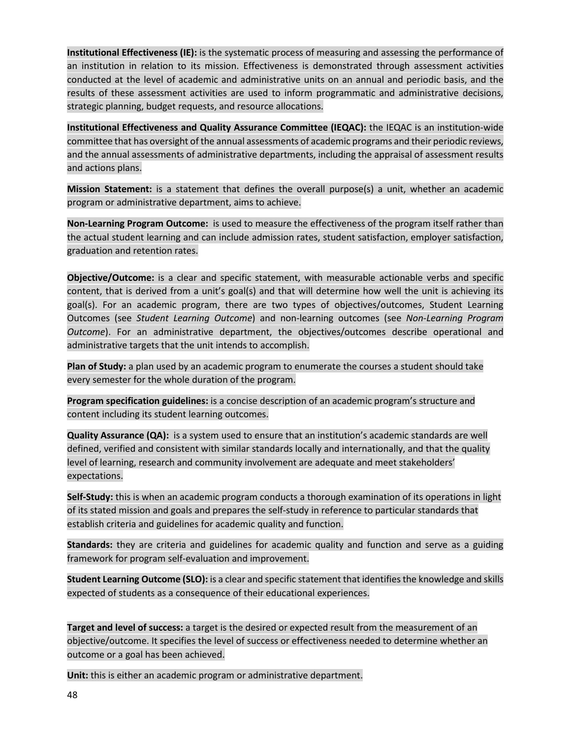**Institutional Effectiveness (IE):** is the systematic process of measuring and assessing the performance of an institution in relation to its mission. Effectiveness is demonstrated through assessment activities conducted at the level of academic and administrative units on an annual and periodic basis, and the results of these assessment activities are used to inform programmatic and administrative decisions, strategic planning, budget requests, and resource allocations.

**Institutional Effectiveness and Quality Assurance Committee (IEQAC):** the IEQAC is an institution-wide committee that has oversight of the annual assessments of academic programs and their periodic reviews, and the annual assessments of administrative departments, including the appraisal of assessment results and actions plans.

**Mission Statement:** is a statement that defines the overall purpose(s) a unit, whether an academic program or administrative department, aims to achieve.

**Non-Learning Program Outcome:** is used to measure the effectiveness of the program itself rather than the actual student learning and can include admission rates, student satisfaction, employer satisfaction, graduation and retention rates.

**Objective/Outcome:** is a clear and specific statement, with measurable actionable verbs and specific content, that is derived from a unit's goal(s) and that will determine how well the unit is achieving its goal(s). For an academic program, there are two types of objectives/outcomes, Student Learning Outcomes (see *Student Learning Outcome*) and non-learning outcomes (see *Non-Learning Program Outcome*). For an administrative department, the objectives/outcomes describe operational and administrative targets that the unit intends to accomplish.

**Plan of Study:** a plan used by an academic program to enumerate the courses a student should take every semester for the whole duration of the program.

**Program specification guidelines:** is a concise description of an academic program's structure and content including its student learning outcomes.

**Quality Assurance (QA):** is a system used to ensure that an institution's academic standards are well defined, verified and consistent with similar standards locally and internationally, and that the quality level of learning, research and community involvement are adequate and meet stakeholders' expectations.

**Self-Study:** this is when an academic program conducts a thorough examination of its operations in light of its stated mission and goals and prepares the self-study in reference to particular standards that establish criteria and guidelines for academic quality and function.

**Standards:** they are criteria and guidelines for academic quality and function and serve as a guiding framework for program self-evaluation and improvement.

**Student Learning Outcome (SLO):** is a clear and specific statement that identifies the knowledge and skills expected of students as a consequence of their educational experiences.

**Target and level of success:** a target is the desired or expected result from the measurement of an objective/outcome. It specifies the level of success or effectiveness needed to determine whether an outcome or a goal has been achieved.

**Unit:** this is either an academic program or administrative department.